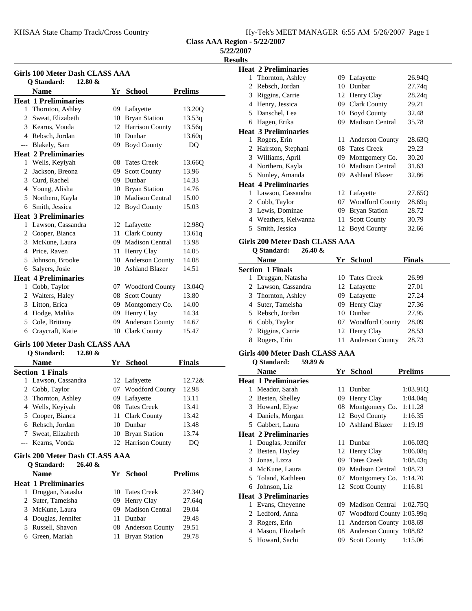KHSAA State Champ Track/Cross Country Hy-Tek's MEET MANAGER 6:55 AM 5/26/2007 Page 1

**Class AAA Region - 5/22/2007**

# **5/22/2007**

**Results**

| <b>Girls 100 Meter Dash CLASS AAA</b> |                                          |    |                        |                |  |
|---------------------------------------|------------------------------------------|----|------------------------|----------------|--|
|                                       | Q Standard:<br>$12.80 \&$<br><b>Name</b> | Yr | <b>School</b>          | <b>Prelims</b> |  |
|                                       | <b>Heat 1 Preliminaries</b>              |    |                        |                |  |
| $\mathbf{1}$                          | Thornton, Ashley                         |    | 09 Lafayette           | 13.20Q         |  |
| 2                                     | Sweat, Elizabeth                         | 10 | <b>Bryan Station</b>   | 13.53q         |  |
|                                       | 3 Kearns, Vonda                          |    | 12 Harrison County     | 13.56q         |  |
|                                       | 4 Rebsch. Jordan                         | 10 | Dunbar                 | 13.60q         |  |
| ---                                   | Blakely, Sam                             | 09 | <b>Boyd County</b>     | D <sub>O</sub> |  |
|                                       | <b>Heat 2 Preliminaries</b>              |    |                        |                |  |
| $\mathbf{1}$                          | Wells, Keyiyah                           | 08 | <b>Tates Creek</b>     | 13.660         |  |
| 2                                     | Jackson, Breona                          | 09 | <b>Scott County</b>    | 13.96          |  |
| 3                                     | Curd, Rachel                             | 09 | Dunbar                 | 14.33          |  |
|                                       | 4 Young, Alisha                          |    | 10 Bryan Station       | 14.76          |  |
| 5                                     | Northern, Kayla                          |    | 10 Madison Central     | 15.00          |  |
| 6                                     | Smith, Jessica                           | 12 | <b>Boyd County</b>     | 15.03          |  |
|                                       | <b>Heat 3 Preliminaries</b>              |    |                        |                |  |
| 1                                     | Lawson, Cassandra                        | 12 | Lafayette              | 12.98Q         |  |
| 2                                     | Cooper, Bianca                           | 11 | <b>Clark County</b>    | 13.61q         |  |
|                                       | 3 McKune, Laura                          |    | 09 Madison Central     | 13.98          |  |
|                                       | 4 Price, Raven                           | 11 | Henry Clay             | 14.05          |  |
| 5                                     | Johnson, Brooke                          | 10 | <b>Anderson County</b> | 14.08          |  |
| 6                                     | Salyers, Josie                           | 10 | <b>Ashland Blazer</b>  | 14.51          |  |
|                                       | <b>Heat 4 Preliminaries</b>              |    |                        |                |  |
| 1                                     | Cobb, Taylor                             |    | 07 Woodford County     | 13.04Q         |  |
| 2                                     | Walters, Haley                           |    | 08 Scott County        | 13.80          |  |
| 3                                     | Litton, Erica                            | 09 | Montgomery Co.         | 14.00          |  |
| 4                                     | Hodge, Malika                            | 09 | Henry Clay             | 14.34          |  |
| 5                                     | Cole, Brittany                           | 09 | Anderson County        | 14.67          |  |
| 6                                     | Craycraft, Katie                         |    | 10 Clark County        | 15.47          |  |
|                                       |                                          |    |                        |                |  |

#### Girls 100 Meter Dash CLASS AAA<br>O Standard: 12.90.0. **Q Standard: 12.80 &**

| O Standard:<br>14.00 Q  |                    |               |
|-------------------------|--------------------|---------------|
| <b>Name</b>             | Yr School          | <b>Finals</b> |
| <b>Section 1 Finals</b> |                    |               |
| 1 Lawson, Cassandra     | 12 Lafayette       | 12.72&        |
| 2 Cobb, Taylor          | 07 Woodford County | 12.98         |
| 3 Thornton, Ashley      | 09 Lafayette       | 13.11         |
| 4 Wells, Keyiyah        | 08 Tates Creek     | 13.41         |
| 5 Cooper, Bianca        | 11 Clark County    | 13.42         |
| 6 Rebsch, Jordan        | 10 Dunbar          | 13.48         |
| Sweat, Elizabeth        | 10 Bryan Station   | 13.74         |
| --- Kearns, Vonda       | 12 Harrison County | DO            |

# **Girls 200 Meter Dash CLASS AAA**

|   | $26.40 \&$<br><b>Q</b> Standard: |                    |                |
|---|----------------------------------|--------------------|----------------|
|   | <b>Name</b>                      | Yr School          | <b>Prelims</b> |
|   | <b>Heat 1 Preliminaries</b>      |                    |                |
|   | Druggan, Natasha                 | 10 Tates Creek     | 27.34Q         |
|   | 2 Suter, Tameisha                | 09 Henry Clay      | 27.64g         |
|   | 3 McKune, Laura                  | 09 Madison Central | 29.04          |
|   | 4 Douglas, Jennifer              | 11 Dunbar          | 29.48          |
|   | 5 Russell, Shavon                | 08 Anderson County | 29.51          |
| 6 | Green, Mariah                    | 11 Bryan Station   | 29.78          |

|   | <b>Heat 2 Preliminaries</b>       |     |                        |        |
|---|-----------------------------------|-----|------------------------|--------|
| 1 | Thornton, Ashley                  |     | 09 Lafayette           | 26.94Q |
| 2 | Rebsch, Jordan                    | 10  | Dunbar                 | 27.74q |
| 3 | Riggins, Carrie                   |     | 12 Henry Clay          | 28.24q |
| 4 | Henry, Jessica                    |     | 09 Clark County        | 29.21  |
| 5 | Danschel, Lea                     | 10  | <b>Boyd County</b>     | 32.48  |
| 6 | Hagen, Erika                      |     | 09 Madison Central     | 35.78  |
|   | <b>Heat 3 Preliminaries</b>       |     |                        |        |
| 1 | Rogers, Erin                      | 11- | <b>Anderson County</b> | 28.630 |
| 2 | Hairston, Stephani                |     | 08 Tates Creek         | 29.23  |
| 3 | Williams, April                   | 09. | Montgomery Co.         | 30.20  |
| 4 | Northern, Kayla                   | 10  | <b>Madison Central</b> | 31.63  |
|   | 5 Nunley, Amanda                  | 09. | <b>Ashland Blazer</b>  | 32.86  |
|   | <b>Heat 4 Preliminaries</b>       |     |                        |        |
| 1 | Lawson, Cassandra                 |     | 12 Lafayette           | 27.65Q |
|   | 2 Cobb, Taylor                    |     | 07 Woodford County     | 28.69q |
|   | 3 Lewis, Dominae                  | 09  | <b>Bryan Station</b>   | 28.72  |
| 4 | Weathers, Keiwanna                | 11  | <b>Scott County</b>    | 30.79  |
| 5 | Smith, Jessica                    |     | 12 Boyd County         | 32.66  |
|   | Cirle 200 Matar Dach CI ASS A A A |     |                        |        |

# **Girls 200 Meter Dash CLASS AAA**

# **Q Standard: 26.40 &**

| <b>Name</b>             | Yr | School             | <b>Finals</b> |
|-------------------------|----|--------------------|---------------|
| <b>Section 1 Finals</b> |    |                    |               |
| 1 Druggan, Natasha      |    | 10 Tates Creek     | 26.99         |
| 2 Lawson, Cassandra     |    | 12 Lafayette       | 27.01         |
| 3 Thornton, Ashley      |    | 09 Lafayette       | 27.24         |
| 4 Suter, Tameisha       |    | 09 Henry Clay      | 27.36         |
| 5 Rebsch, Jordan        |    | 10 Dunbar          | 27.95         |
| 6 Cobb, Taylor          |    | 07 Woodford County | 28.09         |
| 7 Riggins, Carrie       |    | 12 Henry Clay      | 28.53         |
| Rogers, Erin            |    | 11 Anderson County | 28.73         |
|                         |    |                    |               |

#### **Girls 400 Meter Dash CLASS AAA**

#### **Q Standard: 59.89 &**

|   | <b>Name</b>                 | Yr  | <b>School</b>            | <b>Prelims</b> |
|---|-----------------------------|-----|--------------------------|----------------|
|   | <b>Heat 1 Preliminaries</b> |     |                          |                |
| 1 | Meador, Sarah               | 11. | Dunbar                   | 1:03.91Q       |
| 2 | Besten, Shelley             | 09  | Henry Clay               | 1:04.04q       |
| 3 | Howard, Elyse               |     | 08 Montgomery Co.        | 1:11.28        |
| 4 | Daniels, Morgan             |     | 12 Boyd County           | 1:16.35        |
| 5 | Gabbert, Laura              | 10  | <b>Ashland Blazer</b>    | 1:19.19        |
|   | <b>Heat 2 Preliminaries</b> |     |                          |                |
| 1 | Douglas, Jennifer           | 11  | Dunbar                   | 1:06.03Q       |
| 2 | Besten, Hayley              |     | 12 Henry Clay            | 1:06.08q       |
| 3 | Jonas, Lizza                | 09  | <b>Tates Creek</b>       | 1:08.43q       |
| 4 | McKune, Laura               | 09  | <b>Madison Central</b>   | 1:08.73        |
| 5 | Toland, Kathleen            | 07  | Montgomery Co.           | 1:14.70        |
| 6 | Johnson, Liz                |     | 12 Scott County          | 1:16.81        |
|   | <b>Heat 3 Preliminaries</b> |     |                          |                |
| 1 | Evans, Cheyenne             | 09  | <b>Madison Central</b>   | 1:02.75Q       |
| 2 | Ledford, Anna               | 07  | Woodford County 1:05.99q |                |
| 3 | Rogers, Erin                | 11  | Anderson County 1:08.69  |                |
| 4 | Mason, Elizabeth            | 08  | Anderson County 1:08.82  |                |
| 5 | Howard, Sachi               | 09  | <b>Scott County</b>      | 1:15.06        |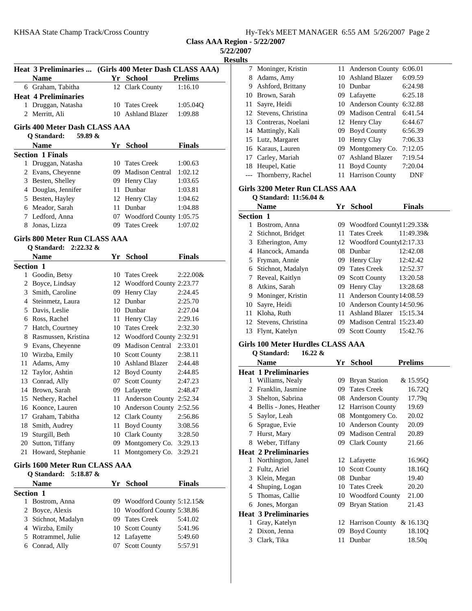|  |  |  |  |  |  | Hy-Tek's MEET MANAGER 6:55 AM 5/26/2007 Page 2 |  |
|--|--|--|--|--|--|------------------------------------------------|--|
|--|--|--|--|--|--|------------------------------------------------|--|

| ш<br>S.<br>۰. |
|---------------|
|---------------|

|                                                          | Heat 3 Preliminaries  (Girls 400 Meter Dash CLASS AAA)<br><b>Name</b> |      | Yr School                      | <b>Prelims</b> |  |  |  |
|----------------------------------------------------------|-----------------------------------------------------------------------|------|--------------------------------|----------------|--|--|--|
|                                                          | 6 Graham, Tabitha                                                     | 12   | <b>Clark County</b>            | 1:16.10        |  |  |  |
|                                                          | <b>Heat 4 Preliminaries</b>                                           |      |                                |                |  |  |  |
|                                                          | 1 Druggan, Natasha                                                    | 10   | <b>Tates Creek</b>             | 1:05.04Q       |  |  |  |
|                                                          | 2 Merritt, Ali                                                        |      | 10 Ashland Blazer              | 1:09.88        |  |  |  |
|                                                          |                                                                       |      |                                |                |  |  |  |
| Girls 400 Meter Dash CLASS AAA<br>Q Standard:<br>59.89 & |                                                                       |      |                                |                |  |  |  |
|                                                          | Name                                                                  |      | Yr School                      | <b>Finals</b>  |  |  |  |
|                                                          | <b>Section 1 Finals</b>                                               |      |                                |                |  |  |  |
| 1                                                        | Druggan, Natasha                                                      |      | 10 Tates Creek                 | 1:00.63        |  |  |  |
|                                                          | 2 Evans, Cheyenne                                                     |      | 09 Madison Central             | 1:02.12        |  |  |  |
|                                                          | 3 Besten, Shelley                                                     |      | 09 Henry Clay                  | 1:03.65        |  |  |  |
|                                                          | 4 Douglas, Jennifer                                                   |      | 11 Dunbar                      | 1:03.81        |  |  |  |
|                                                          | 5 Besten, Hayley                                                      |      | 12 Henry Clay                  | 1:04.62        |  |  |  |
|                                                          | 6 Meador, Sarah                                                       |      | 11 Dunbar                      | 1:04.88        |  |  |  |
|                                                          | 7 Ledford, Anna                                                       |      | 07 Woodford County 1:05.75     |                |  |  |  |
|                                                          | 8 Jonas, Lizza                                                        |      | 09 Tates Creek                 | 1:07.02        |  |  |  |
|                                                          | <b>Girls 800 Meter Run CLASS AAA</b><br>Q Standard:<br>$2:22.32 \&$   |      |                                |                |  |  |  |
|                                                          | <b>Name</b>                                                           |      | Yr School                      | <b>Finals</b>  |  |  |  |
| Section 1                                                |                                                                       |      |                                |                |  |  |  |
| 1                                                        | Goodin, Betsy                                                         | 10   | <b>Tates Creek</b>             | 2:22.00&       |  |  |  |
|                                                          | 2 Boyce, Lindsay                                                      |      | 12 Woodford County 2:23.77     |                |  |  |  |
|                                                          | 3 Smith, Caroline                                                     |      | 09 Henry Clay                  | 2:24.45        |  |  |  |
|                                                          | 4 Steinmetz, Laura                                                    |      | 12 Dunbar                      | 2:25.70        |  |  |  |
|                                                          | 5 Davis, Leslie                                                       |      | 10 Dunbar                      | 2:27.04        |  |  |  |
|                                                          | 6 Ross, Rachel                                                        |      | 11 Henry Clay                  | 2:29.16        |  |  |  |
|                                                          | 7 Hatch, Courtney                                                     |      | 10 Tates Creek                 | 2:32.30        |  |  |  |
|                                                          | 8 Rasmussen, Kristina                                                 |      | 12 Woodford County 2:32.91     |                |  |  |  |
|                                                          | 9 Evans, Cheyenne                                                     |      | 09 Madison Central             | 2:33.01        |  |  |  |
|                                                          | 10 Wirzba, Emily                                                      |      | 10 Scott County                | 2:38.11        |  |  |  |
|                                                          | 11 Adams, Amy                                                         |      | 10 Ashland Blazer              | 2:44.48        |  |  |  |
|                                                          | 12 Taylor, Ashtin                                                     |      | 12 Boyd County                 | 2:44.85        |  |  |  |
|                                                          | 13 Conrad, Ally                                                       |      | 07 Scott County                | 2:47.23        |  |  |  |
|                                                          | 14 Brown, Sarah                                                       |      | 09 Lafayette                   | 2:48.47        |  |  |  |
|                                                          | 15 Nethery, Rachel                                                    | 11 - | Anderson County 2:52.34        |                |  |  |  |
|                                                          | 16 Koonce, Lauren                                                     |      | 10 Anderson County             | 2:52.56        |  |  |  |
| 17                                                       | Graham, Tabitha                                                       |      | 12 Clark County                | 2:56.86        |  |  |  |
| 18                                                       | Smith, Audrey                                                         |      | 11 Boyd County                 | 3:08.56        |  |  |  |
|                                                          | 19 Sturgill, Beth                                                     |      | 10 Clark County                | 3:28.50        |  |  |  |
|                                                          | 20 Sutton, Tiffany                                                    |      | 09 Montgomery Co.              | 3:29.13        |  |  |  |
| 21                                                       | Howard, Stephanie                                                     | 11   | Montgomery Co.                 | 3:29.21        |  |  |  |
|                                                          |                                                                       |      |                                |                |  |  |  |
|                                                          | Girls 1600 Meter Run CLASS AAA                                        |      |                                |                |  |  |  |
|                                                          | <b>Q</b> Standard:<br>$5:18.87$ &                                     |      |                                |                |  |  |  |
|                                                          | <b>Name</b>                                                           |      | Yr School                      | <b>Finals</b>  |  |  |  |
| Section 1                                                | 1 Bostrom, Anna                                                       |      | 09 Woodford County $5:12.15\&$ |                |  |  |  |

| 1 Bostrom, Anna     | 09 Woodford County 5:12.15& |         |
|---------------------|-----------------------------|---------|
| 2 Boyce, Alexis     | 10 Woodford County 5:38.86  |         |
| 3 Stichnot, Madalyn | 09 Tates Creek              | 5:41.02 |
| 4 Wirzba, Emily     | 10 Scott County             | 5:41.96 |
| 5 Rotrammel, Julie  | 12 Lafayette                | 5:49.60 |
| 6 Conrad, Ally      | 07 Scott County             | 5:57.91 |

| O  |                       |     |                        |            |
|----|-----------------------|-----|------------------------|------------|
|    | 7 Moninger, Kristin   |     | 11 Anderson County     | 6:06.01    |
| 8  | Adams, Amy            |     | 10 Ashland Blazer      | 6:09.59    |
| 9  | Ashford, Brittany     |     | 10 Dunbar              | 6:24.98    |
|    | 10 Brown, Sarah       |     | 09 Lafayette           | 6:25.18    |
| 11 | Sayre, Heidi          |     | 10 Anderson County     | 6:32.88    |
|    | 12 Stevens, Christina |     | 09 Madison Central     | 6:41.54    |
|    | 13 Contreras, Noelani |     | 12 Henry Clay          | 6:44.67    |
|    | 14 Mattingly, Kali    |     | 09 Boyd County         | 6:56.39    |
|    | 15 Lutz, Margaret     |     | 10 Henry Clay          | 7:06.33    |
|    | 16 Karaus, Lauren     |     | 09 Montgomery Co.      | 7:12.05    |
|    | 17 Carley, Mariah     | 07. | Ashland Blazer         | 7:19.54    |
| 18 | Heupel, Katie         | 11  | <b>Boyd County</b>     | 7:20.04    |
|    | Thornberry, Rachel    | 11  | <b>Harrison County</b> | <b>DNF</b> |
|    |                       |     |                        |            |

# **Girls 3200 Meter Run CLASS AAA**

|                  | O Standard: 11:56.04 & |     |                              |               |
|------------------|------------------------|-----|------------------------------|---------------|
|                  | Name                   |     | Yr School                    | <b>Finals</b> |
| <b>Section 1</b> |                        |     |                              |               |
| 1                | Bostrom, Anna          |     | 09 Woodford Countyl 1:29.33& |               |
| 2                | Stichnot, Bridget      |     | 11 Tates Creek               | 11:49.39&     |
| 3                | Etherington, Amy       |     | 12 Woodford Countyl 2:17.33  |               |
| 4                | Hancock, Amanda        |     | 08 Dunbar                    | 12:42.08      |
| 5                | Fryman, Annie          |     | 09 Henry Clay                | 12:42.42      |
| 6                | Stichnot, Madalyn      |     | 09 Tates Creek               | 12:52.37      |
| 7                | Reveal, Kaitlyn        | 09. | Scott County                 | 13:20.58      |
| 8                | Atkins, Sarah          |     | 09 Henry Clay                | 13:28.68      |
| 9                | Moninger, Kristin      | 11. | Anderson County 14:08.59     |               |
| 10-              | Sayre, Heidi           |     | 10 Anderson County 14:50.96  |               |
| 11               | Kloha, Ruth            | 11  | Ashland Blazer 15:15.34      |               |
|                  | 12 Stevens, Christina  |     | 09 Madison Central 15:23.40  |               |
| 13               | Flynt, Katelyn         | 09. | <b>Scott County</b>          | 15:42.76      |
|                  |                        |     |                              |               |

#### **Girls 100 Meter Hurdles CLASS AAA Q Standard: 16.22 &**

|   | <b>Name</b>                 |    | Yr School                   | <b>Prelims</b> |
|---|-----------------------------|----|-----------------------------|----------------|
|   | Heat 1 Preliminaries        |    |                             |                |
| 1 | Williams, Nealy             |    | 09 Bryan Station            | & 15.95Q       |
| 2 | Franklin, Jasmine           | 09 | <b>Tates Creek</b>          | 16.72Q         |
| 3 | Shelton, Sabrina            |    | 08 Anderson County          | 17.79q         |
| 4 | Bellis - Jones, Heather     |    | 12 Harrison County          | 19.69          |
| 5 | Saylor, Leah                |    | 08 Montgomery Co.           | 20.02          |
| 6 | Sprague, Evie               |    | 10 Anderson County          | 20.09          |
| 7 | Hurst, Mary                 | 09 | <b>Madison Central</b>      | 20.89          |
| 8 | Weber, Tiffany              |    | 09 Clark County             | 21.66          |
|   | Heat 2 Preliminaries        |    |                             |                |
|   | 1 Northington, Janel        |    | 12 Lafayette                | 16.96Q         |
| 2 | Fultz, Ariel                | 10 | <b>Scott County</b>         | 18.16Q         |
| 3 | Klein, Megan                | 08 | Dunbar                      | 19.40          |
| 4 | Shuping, Logan              | 10 | <b>Tates Creek</b>          | 20.20          |
| 5 | Thomas, Callie              |    | 10 Woodford County          | 21.00          |
| 6 | Jones, Morgan               | 09 | <b>Bryan Station</b>        | 21.43          |
|   | <b>Heat 3 Preliminaries</b> |    |                             |                |
| 1 | Gray, Katelyn               |    | 12 Harrison County & 16.13Q |                |
| 2 | Dixon, Jenna                | 09 | Boyd County                 | 18.10O         |
| 3 | Clark, Tika                 | 11 | Dunbar                      | 18.50q         |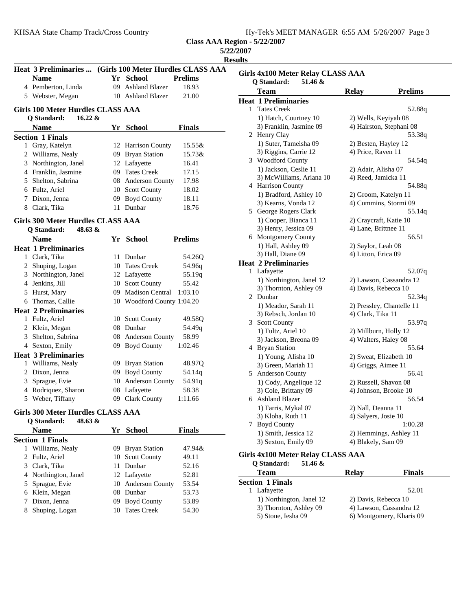**Class AAA Region - 5/22/2007 5/22/2007**

**Results**

|   | <b>Heat 3 Preliminaries </b>                                                 |     |                            | (Girls 100 Meter Hurdles CLASS AAA) |
|---|------------------------------------------------------------------------------|-----|----------------------------|-------------------------------------|
|   | <b>Name</b>                                                                  |     | Yr School                  | <b>Prelims</b>                      |
|   | 4 Pemberton, Linda                                                           |     | 09 Ashland Blazer          | 18.93                               |
|   | 5 Webster, Megan                                                             |     | 10 Ashland Blazer          | 21.00                               |
|   |                                                                              |     |                            |                                     |
|   | <b>Girls 100 Meter Hurdles CLASS AAA</b><br>$16.22 \&$<br><b>Q</b> Standard: |     |                            |                                     |
|   | <b>Name</b>                                                                  |     | Yr School                  | <b>Finals</b>                       |
|   | <b>Section 1 Finals</b>                                                      |     |                            |                                     |
|   | 1 Gray, Katelyn                                                              |     | 12 Harrison County         | 15.55&                              |
|   | 2 Williams, Nealy                                                            |     | 09 Bryan Station           | 15.73&                              |
|   | 3 Northington, Janel                                                         |     | 12 Lafayette               | 16.41                               |
|   | 4 Franklin, Jasmine                                                          |     | 09 Tates Creek             | 17.15                               |
|   | 5 Shelton, Sabrina                                                           |     | 08 Anderson County         | 17.98                               |
|   | 6 Fultz, Ariel                                                               |     | 10 Scott County            | 18.02                               |
|   | 7 Dixon, Jenna                                                               |     | 09 Boyd County             |                                     |
|   |                                                                              |     | 11 Dunbar                  | 18.11                               |
|   | 8 Clark, Tika                                                                |     |                            | 18.76                               |
|   | Girls 300 Meter Hurdles CLASS AAA                                            |     |                            |                                     |
|   | Q Standard:<br>48.63 &                                                       |     |                            |                                     |
|   | <b>Name</b>                                                                  |     | Yr School                  | <b>Prelims</b>                      |
|   | <b>Heat 1 Preliminaries</b>                                                  |     |                            |                                     |
|   | 1 Clark, Tika                                                                |     | 11 Dunbar                  | 54.26Q                              |
|   | 2 Shuping, Logan                                                             |     | 10 Tates Creek             | 54.96q                              |
|   | 3 Northington, Janel                                                         |     | 12 Lafayette               | 55.19q                              |
|   | 4 Jenkins, Jill                                                              |     | 10 Scott County            | 55.42                               |
|   | 5 Hurst, Mary                                                                |     | 09 Madison Central         | 1:03.10                             |
|   | 6 Thomas, Callie                                                             |     | 10 Woodford County 1:04.20 |                                     |
|   | <b>Heat 2 Preliminaries</b>                                                  |     |                            |                                     |
|   | 1 Fultz, Ariel                                                               |     | 10 Scott County            | 49.58Q                              |
|   | 2 Klein, Megan                                                               |     | 08 Dunbar                  | 54.49q                              |
|   | 3 Shelton, Sabrina                                                           |     | 08 Anderson County         | 58.99                               |
|   | 4 Sexton, Emily                                                              |     | 09 Boyd County             | 1:02.46                             |
|   | <b>Heat 3 Preliminaries</b>                                                  |     |                            |                                     |
|   | 1 Williams, Nealy                                                            |     | 09 Bryan Station           | 48.97Q                              |
|   | 2 Dixon, Jenna                                                               |     | 09 Boyd County             | 54.14q                              |
|   | 3 Sprague, Evie                                                              |     | 10 Anderson County         | 54.91q                              |
|   | 4 Rodriquez, Sharon                                                          |     | 08 Lafayette               | 58.38                               |
|   | 5 Weber, Tiffany                                                             |     | 09 Clark County            | 1:11.66                             |
|   |                                                                              |     |                            |                                     |
|   | Girls 300 Meter Hurdles CLASS AAA<br>48.63 &                                 |     |                            |                                     |
|   | O Standard:                                                                  |     |                            |                                     |
|   | <b>Name</b>                                                                  |     | Yr School                  | Finals                              |
|   | <b>Section 1 Finals</b>                                                      |     |                            |                                     |
| 1 | Williams, Nealy                                                              | 09. | <b>Bryan Station</b>       | 47.94&                              |
|   | 2 Fultz, Ariel                                                               | 10  | <b>Scott County</b>        | 49.11                               |
|   | 3 Clark, Tika                                                                | 11  | Dunbar                     | 52.16                               |
|   | 4 Northington, Janel                                                         |     | 12 Lafayette               | 52.81                               |
|   | 5 Sprague, Evie                                                              | 10  | Anderson County            | 53.54                               |
|   | 6 Klein, Megan                                                               |     | 08 Dunbar                  | 53.73                               |
|   | 7 Dixon, Jenna                                                               | 09  | <b>Boyd County</b>         | 53.89                               |
|   | 8 Shuping, Logan                                                             | 10  | <b>Tates Creek</b>         | 54.30                               |

| <b>Girls 4x100 Meter Relay CLASS AAA</b> |                                          |                          |                           |  |
|------------------------------------------|------------------------------------------|--------------------------|---------------------------|--|
| Q Standard:<br>51.46 &                   |                                          |                          |                           |  |
|                                          | Team                                     | <b>Relay</b>             | <b>Prelims</b>            |  |
|                                          | <b>Heat 1 Preliminaries</b>              |                          |                           |  |
| 1                                        | <b>Tates Creek</b>                       |                          | 52.88q                    |  |
|                                          | 1) Hatch, Courtney 10                    | 2) Wells, Keyiyah 08     |                           |  |
|                                          | 3) Franklin, Jasmine 09                  | 4) Hairston, Stephani 08 |                           |  |
|                                          | 2 Henry Clay                             |                          | 53.38q                    |  |
|                                          | 1) Suter, Tameisha 09                    | 2) Besten, Hayley 12     |                           |  |
|                                          | 3) Riggins, Carrie 12                    | 4) Price, Raven 11       |                           |  |
|                                          | 3 Woodford County                        |                          | 54.54q                    |  |
|                                          | 1) Jackson, Ceslie 11                    | 2) Adair, Alisha 07      |                           |  |
|                                          | 3) McWilliams, Ariana 10                 | 4) Reed, Jamicka 11      |                           |  |
|                                          | 4 Harrison County                        |                          | 54.88q                    |  |
|                                          | 1) Bradford, Ashley 10                   | 2) Groom, Katelyn 11     |                           |  |
|                                          | 3) Kearns, Vonda 12                      | 4) Cummins, Stormi 09    |                           |  |
|                                          | 5 George Rogers Clark                    |                          | 55.14q                    |  |
|                                          | 1) Cooper, Bianca 11                     | 2) Craycraft, Katie 10   |                           |  |
|                                          | 3) Henry, Jessica 09                     | 4) Lane, Brittnee 11     |                           |  |
|                                          | 6 Montgomery County                      |                          | 56.51                     |  |
|                                          | 1) Hall, Ashley 09                       | 2) Saylor, Leah 08       |                           |  |
|                                          | 3) Hall, Diane 09                        | 4) Litton, Erica 09      |                           |  |
|                                          | <b>Heat 2 Preliminaries</b>              |                          |                           |  |
| $\mathbf{1}$                             | Lafayette                                |                          | 52.07q                    |  |
|                                          | 1) Northington, Janel 12                 |                          | 2) Lawson, Cassandra 12   |  |
|                                          | 3) Thornton, Ashley 09                   | 4) Davis, Rebecca 10     |                           |  |
|                                          | 2 Dunbar                                 |                          | 52.34q                    |  |
|                                          | 1) Meador, Sarah 11                      |                          | 2) Pressley, Chantelle 11 |  |
|                                          | 3) Rebsch, Jordan 10                     | 4) Clark, Tika 11        |                           |  |
|                                          | 3 Scott County                           |                          | 53.97q                    |  |
|                                          | 1) Fultz, Ariel 10                       | 2) Millburn, Holly 12    |                           |  |
|                                          | 3) Jackson, Breona 09                    | 4) Walters, Haley 08     |                           |  |
|                                          | 4 Bryan Station                          |                          | 55.64                     |  |
|                                          | 1) Young, Alisha 10                      | 2) Sweat, Elizabeth 10   |                           |  |
|                                          | 3) Green, Mariah 11                      | 4) Griggs, Aimee 11      |                           |  |
|                                          | 5 Anderson County                        |                          | 56.41                     |  |
|                                          | 1) Cody, Angelique 12                    | 2) Russell, Shavon 08    |                           |  |
|                                          | 3) Cole, Brittany 09                     | 4) Johnson, Brooke 10    |                           |  |
|                                          | 6 Ashland Blazer                         |                          | 56.54                     |  |
|                                          | 1) Farris, Mykal 07                      | 2) Nall, Deanna 11       |                           |  |
|                                          | 3) Kloha, Ruth 11                        | 4) Salyers, Josie 10     |                           |  |
|                                          | 7 Boyd County                            |                          | 1:00.28                   |  |
|                                          | 1) Smith, Jessica 12                     |                          | 2) Hemmings, Ashley 11    |  |
|                                          | 3) Sexton, Emily 09                      | 4) Blakely, Sam 09       |                           |  |
|                                          | <b>Girls 4x100 Meter Relay CLASS AAA</b> |                          |                           |  |

| 51.46 $\&$<br><b>O</b> Standard: |                          |               |  |
|----------------------------------|--------------------------|---------------|--|
| <b>Team</b>                      | <b>Relay</b>             | <b>Finals</b> |  |
| <b>Section 1 Finals</b>          |                          |               |  |
| Lafayette                        |                          | 52.01         |  |
| 1) Northington, Janel 12         | 2) Davis, Rebecca 10     |               |  |
| 3) Thornton, Ashley 09           | 4) Lawson, Cassandra 12  |               |  |
| 5) Stone, Iesha 09               | 6) Montgomery, Kharis 09 |               |  |
|                                  |                          |               |  |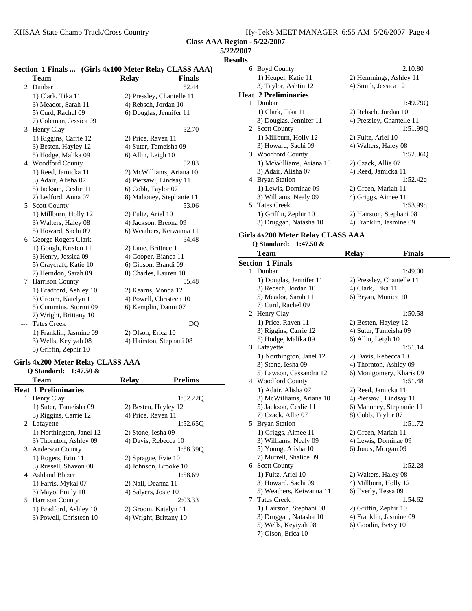KHSAA State Champ Track/Cross Country

| Hy-Tek's MEET MANAGER 6:55 AM 5/26/2007 Page 4 |  |
|------------------------------------------------|--|
|------------------------------------------------|--|

**Class AAA Region - 5/22/2007**

| Section 1 Finals  (Girls 4x100 Meter Relay CLASS AAA) |                         |                               |  |  |
|-------------------------------------------------------|-------------------------|-------------------------------|--|--|
|                                                       | <b>Team</b>             | <b>Finals</b><br><b>Relay</b> |  |  |
| 2                                                     | Dunbar                  | 52.44                         |  |  |
|                                                       | 1) Clark, Tika 11       | 2) Pressley, Chantelle 11     |  |  |
|                                                       | 3) Meador, Sarah 11     | 4) Rebsch, Jordan 10          |  |  |
|                                                       | 5) Curd, Rachel 09      | 6) Douglas, Jennifer 11       |  |  |
|                                                       | 7) Coleman, Jessica 09  |                               |  |  |
| 3                                                     | Henry Clay              | 52.70                         |  |  |
|                                                       | 1) Riggins, Carrie 12   | 2) Price, Raven 11            |  |  |
|                                                       | 3) Besten, Hayley 12    | 4) Suter, Tameisha 09         |  |  |
|                                                       | 5) Hodge, Malika 09     | 6) Allin, Leigh 10            |  |  |
|                                                       | 4 Woodford County       | 52.83                         |  |  |
|                                                       | 1) Reed, Jamicka 11     | 2) McWilliams, Ariana 10      |  |  |
|                                                       | 3) Adair, Alisha 07     | 4) Piersawl, Lindsay 11       |  |  |
|                                                       | 5) Jackson, Ceslie 11   | 6) Cobb, Taylor 07            |  |  |
|                                                       | 7) Ledford, Anna 07     | 8) Mahoney, Stephanie 11      |  |  |
|                                                       | 5 Scott County          | 53.06                         |  |  |
|                                                       | 1) Millburn, Holly 12   | 2) Fultz, Ariel 10            |  |  |
|                                                       | 3) Walters, Haley 08    | 4) Jackson, Breona 09         |  |  |
|                                                       | 5) Howard, Sachi 09     | 6) Weathers, Keiwanna 11      |  |  |
|                                                       | 6 George Rogers Clark   | 54.48                         |  |  |
|                                                       | 1) Gough, Kristen 11    | 2) Lane, Brittnee 11          |  |  |
|                                                       | 3) Henry, Jessica 09    | 4) Cooper, Bianca 11          |  |  |
|                                                       | 5) Craycraft, Katie 10  | 6) Gibson, Brandi 09          |  |  |
|                                                       | 7) Herndon, Sarah 09    | 8) Charles, Lauren 10         |  |  |
| 7                                                     | Harrison County         | 55.48                         |  |  |
|                                                       | 1) Bradford, Ashley 10  | 2) Kearns, Vonda 12           |  |  |
|                                                       | 3) Groom, Katelyn 11    | 4) Powell, Christeen 10       |  |  |
|                                                       | 5) Cummins, Stormi 09   | 6) Kemplin, Danni 07          |  |  |
|                                                       | 7) Wright, Brittany 10  |                               |  |  |
|                                                       | <b>Tates Creek</b>      | DQ                            |  |  |
|                                                       | 1) Franklin, Jasmine 09 | 2) Olson, Erica 10            |  |  |
|                                                       | 3) Wells, Keyiyah 08    | 4) Hairston, Stephani 08      |  |  |
|                                                       | 5) Griffin, Zephir 10   |                               |  |  |

## **Girls 4x200 Meter Relay CLASS AAA**

**Q Standard: 1:47.50 &**

|   | Team                        | <b>Relay</b>         | <b>Prelims</b>         |
|---|-----------------------------|----------------------|------------------------|
|   | <b>Heat 1 Preliminaries</b> |                      |                        |
|   | 1 Henry Clay                |                      | 1:52.220               |
|   | 1) Suter, Tameisha 09       | 2) Besten, Hayley 12 |                        |
|   | 3) Riggins, Carrie 12       | 4) Price, Raven 11   |                        |
|   | 2 Lafayette                 |                      | 1:52.650               |
|   | 1) Northington, Janel 12    | 2) Stone, Iesha 09   |                        |
|   | 3) Thornton, Ashley 09      | 4) Davis, Rebecca 10 |                        |
|   | 3 Anderson County           |                      | 1:58.390               |
|   | 1) Rogers, Erin 11          | 2) Sprague, Evie 10  |                        |
|   | 3) Russell, Shavon 08       |                      | 4) Johnson, Brooke 10  |
|   | 4 Ashland Blazer            |                      | 1:58.69                |
|   | 1) Farris, Mykal 07         | 2) Nall, Deanna 11   |                        |
|   | 3) Mayo, Emily 10           | 4) Salvers, Josie 10 |                        |
| 5 | <b>Harrison County</b>      |                      | 2:03.33                |
|   | 1) Bradford, Ashley 10      | 2) Groom, Katelyn 11 |                        |
|   | 3) Powell, Christeen 10     |                      | 4) Wright, Brittany 10 |
|   |                             |                      |                        |

| <b>Results</b> |                             |                           |
|----------------|-----------------------------|---------------------------|
| 6              | <b>Boyd County</b>          | 2:10.80                   |
|                | 1) Heupel, Katie 11         | 2) Hemmings, Ashley 11    |
|                | 3) Taylor, Ashtin 12        | 4) Smith, Jessica 12      |
|                | <b>Heat 2 Preliminaries</b> |                           |
|                | 1 Dunbar                    | 1:49.790                  |
|                | 1) Clark, Tika 11           | 2) Rebsch, Jordan 10      |
|                | 3) Douglas, Jennifer 11     | 4) Pressley, Chantelle 11 |
|                | 2 Scott County              | 1:51.99Q                  |
|                | 1) Millburn, Holly 12       | 2) Fultz, Ariel 10        |
|                | 3) Howard, Sachi 09         | 4) Walters, Haley 08      |
|                | 3 Woodford County           | 1:52.360                  |
|                | 1) McWilliams, Ariana 10    | 2) Czack, Allie 07        |
|                | 3) Adair, Alisha 07         | 4) Reed, Jamicka 11       |
|                | 4 Bryan Station             | 1:52.42q                  |
|                | 1) Lewis, Dominae 09        | 2) Green, Mariah 11       |
|                | 3) Williams, Nealy 09       | 4) Griggs, Aimee 11       |
|                | 5 Tates Creek               | 1:53.99q                  |
|                | 1) Griffin, Zephir 10       | 2) Hairston, Stephani 08  |
|                | 3) Druggan, Natasha 10      | 4) Franklin, Jasmine 09   |

## **Girls 4x200 Meter Relay CLASS AAA**

| Q Standard: 1:47.50 & |  |
|-----------------------|--|

|   | Team                     | <b>Relay</b>              | <b>Finals</b> |
|---|--------------------------|---------------------------|---------------|
|   | <b>Section 1 Finals</b>  |                           |               |
| 1 | Dunbar                   |                           | 1:49.00       |
|   | 1) Douglas, Jennifer 11  | 2) Pressley, Chantelle 11 |               |
|   | 3) Rebsch, Jordan 10     | 4) Clark, Tika 11         |               |
|   | 5) Meador, Sarah 11      | 6) Bryan, Monica 10       |               |
|   | 7) Curd, Rachel 09       |                           |               |
|   | 2 Henry Clay             |                           | 1:50.58       |
|   | 1) Price, Raven 11       | 2) Besten, Hayley 12      |               |
|   | 3) Riggins, Carrie 12    | 4) Suter, Tameisha 09     |               |
|   | 5) Hodge, Malika 09      | 6) Allin, Leigh 10        |               |
|   | 3 Lafayette              |                           | 1:51.14       |
|   | 1) Northington, Janel 12 | 2) Davis, Rebecca 10      |               |
|   | 3) Stone, Iesha 09       | 4) Thornton, Ashley 09    |               |
|   | 5) Lawson, Cassandra 12  | 6) Montgomery, Kharis 09  |               |
|   | 4 Woodford County        |                           | 1:51.48       |
|   | 1) Adair, Alisha 07      | 2) Reed, Jamicka 11       |               |
|   | 3) McWilliams, Ariana 10 | 4) Piersawl, Lindsay 11   |               |
|   | 5) Jackson, Ceslie 11    | 6) Mahoney, Stephanie 11  |               |
|   | 7) Czack, Allie 07       | 8) Cobb, Taylor 07        |               |
|   | 5 Bryan Station          |                           | 1:51.72       |
|   | 1) Griggs, Aimee 11      | 2) Green, Mariah 11       |               |
|   | 3) Williams, Nealy 09    | 4) Lewis, Dominae 09      |               |
|   | 5) Young, Alisha 10      | 6) Jones, Morgan 09       |               |
|   | 7) Murrell, Shalice 09   |                           |               |
|   | 6 Scott County           |                           | 1:52.28       |
|   | 1) Fultz, Ariel 10       | 2) Walters, Haley 08      |               |
|   | 3) Howard, Sachi 09      | 4) Millburn, Holly 12     |               |
|   | 5) Weathers, Keiwanna 11 | 6) Everly, Tessa 09       |               |
| 7 | <b>Tates Creek</b>       |                           | 1:54.62       |
|   | 1) Hairston, Stephani 08 | 2) Griffin, Zephir 10     |               |
|   | 3) Druggan, Natasha 10   | 4) Franklin, Jasmine 09   |               |
|   | 5) Wells, Keyiyah 08     | 6) Goodin, Betsy 10       |               |
|   | 7) Olson, Erica 10       |                           |               |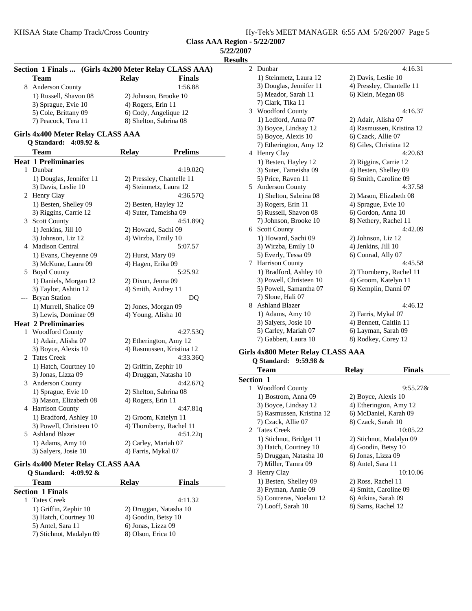**5/22/2007**

**Results**

|       | Section 1 Finals  (Girls 4x200 Meter Relay CLASS AAA)<br><b>Team</b> | Relay               | <b>Finals</b>             |
|-------|----------------------------------------------------------------------|---------------------|---------------------------|
| 8     | Anderson County                                                      |                     | 1:56.88                   |
|       | 1) Russell, Shavon 08                                                |                     | 2) Johnson, Brooke 10     |
|       | 3) Sprague, Evie 10                                                  | 4) Rogers, Erin 11  |                           |
|       | 5) Cole, Brittany 09                                                 |                     | 6) Cody, Angelique 12     |
|       | 7) Peacock, Tera 11                                                  |                     | 8) Shelton, Sabrina 08    |
|       |                                                                      |                     |                           |
|       | Girls 4x400 Meter Relay CLASS AAA<br>4:09.92 $\&$<br>Q Standard:     |                     |                           |
|       | Team                                                                 | <b>Relay</b>        | <b>Prelims</b>            |
|       | <b>Heat 1 Preliminaries</b>                                          |                     |                           |
| 1     | Dunbar                                                               |                     | 4:19.02Q                  |
|       | 1) Douglas, Jennifer 11                                              |                     | 2) Pressley, Chantelle 11 |
|       | 3) Davis, Leslie 10                                                  |                     | 4) Steinmetz, Laura 12    |
|       | 2 Henry Clay                                                         |                     | 4:36.57Q                  |
|       | 1) Besten, Shelley 09                                                |                     | 2) Besten, Hayley 12      |
|       | 3) Riggins, Carrie 12                                                |                     | 4) Suter, Tameisha 09     |
| 3     | <b>Scott County</b>                                                  |                     |                           |
|       |                                                                      |                     | 4:51.89Q                  |
|       | 1) Jenkins, Jill 10                                                  |                     | 2) Howard, Sachi 09       |
|       | 3) Johnson, Liz 12                                                   |                     | 4) Wirzba, Emily 10       |
| 4     | Madison Central                                                      |                     | 5:07.57                   |
|       | 1) Evans, Cheyenne 09                                                | 2) Hurst, Mary 09   |                           |
|       | 3) McKune, Laura 09                                                  | 4) Hagen, Erika 09  |                           |
|       | 5 Boyd County                                                        |                     | 5:25.92                   |
|       | 1) Daniels, Morgan 12                                                | 2) Dixon, Jenna 09  |                           |
|       | 3) Taylor, Ashtin 12                                                 | 4) Smith, Audrey 11 |                           |
| $---$ | <b>Bryan Station</b>                                                 |                     | DQ                        |
|       | 1) Murrell, Shalice 09                                               |                     | 2) Jones, Morgan 09       |
|       | 3) Lewis, Dominae 09                                                 |                     | 4) Young, Alisha 10       |
|       | <b>Heat 2 Preliminaries</b>                                          |                     |                           |
| 1     | Woodford County                                                      |                     | 4:27.53Q                  |
|       | 1) Adair, Alisha 07                                                  |                     | 2) Etherington, Amy 12    |
|       | 3) Boyce, Alexis 10                                                  |                     | 4) Rasmussen, Kristina 12 |
| 2     | <b>Tates Creek</b>                                                   |                     | 4:33.36Q                  |
|       | 1) Hatch, Courtney 10                                                |                     | 2) Griffin, Zephir 10     |
|       | 3) Jonas, Lizza 09                                                   |                     | 4) Druggan, Natasha 10    |
| 3     | <b>Anderson County</b>                                               |                     | 4:42.67Q                  |
|       | 1) Sprague, Evie 10                                                  |                     | 2) Shelton, Sabrina 08    |
|       | 3) Mason, Elizabeth 08                                               | 4) Rogers, Erin 11  |                           |
|       | 4 Harrison County                                                    |                     | 4:47.81q                  |
|       | 1) Bradford, Ashley 10                                               |                     | 2) Groom, Katelyn 11      |
|       | 3) Powell, Christeen 10                                              |                     | 4) Thornberry, Rachel 11  |
| 5     | <b>Ashland Blazer</b>                                                |                     | 4:51.22q                  |
|       |                                                                      |                     |                           |
|       | 1) Adams, Amy 10                                                     |                     | 2) Carley, Mariah 07      |
|       | 3) Salyers, Josie 10                                                 | 4) Farris, Mykal 07 |                           |

#### **Girls 4x400 Meter Relay CLASS AAA Q Standard: 4:09.92 &**

| Relay                  | <b>Finals</b> |
|------------------------|---------------|
|                        |               |
|                        | 4:11.32       |
| 2) Druggan, Natasha 10 |               |
| 4) Goodin, Betsy 10    |               |
| 6) Jonas, Lizza 09     |               |
| 8) Olson, Erica 10     |               |
|                        |               |

| 2 | Dunbar                  | 4:16.31                   |
|---|-------------------------|---------------------------|
|   | 1) Steinmetz, Laura 12  | 2) Davis, Leslie 10       |
|   | 3) Douglas, Jennifer 11 | 4) Pressley, Chantelle 11 |
|   | 5) Meador, Sarah 11     | 6) Klein, Megan 08        |
|   | 7) Clark, Tika 11       |                           |
| 3 | <b>Woodford County</b>  | 4:16.37                   |
|   | 1) Ledford, Anna 07     | 2) Adair, Alisha 07       |
|   | 3) Boyce, Lindsay 12    | 4) Rasmussen, Kristina 12 |
|   | 5) Boyce, Alexis 10     | 6) Czack, Allie 07        |
|   | 7) Etherington, Amy 12  | 8) Giles, Christina 12    |
|   | 4 Henry Clay            | 4:20.63                   |
|   | 1) Besten, Hayley 12    | 2) Riggins, Carrie 12     |
|   | 3) Suter, Tameisha 09   | 4) Besten, Shelley 09     |
|   | 5) Price, Raven 11      | 6) Smith, Caroline 09     |
| 5 | <b>Anderson County</b>  | 4:37.58                   |
|   | 1) Shelton, Sabrina 08  | 2) Mason, Elizabeth 08    |
|   | 3) Rogers, Erin 11      | 4) Sprague, Evie 10       |
|   | 5) Russell, Shavon 08   | 6) Gordon, Anna 10        |
|   | 7) Johnson, Brooke 10   | 8) Nethery, Rachel 11     |
| 6 | <b>Scott County</b>     | 4:42.09                   |
|   | 1) Howard, Sachi 09     | 2) Johnson, Liz 12        |
|   | 3) Wirzba, Emily 10     | 4) Jenkins, Jill 10       |
|   | 5) Everly, Tessa 09     | 6) Conrad, Ally 07        |
| 7 | <b>Harrison County</b>  | 4:45.58                   |
|   | 1) Bradford, Ashley 10  | 2) Thornberry, Rachel 11  |
|   | 3) Powell, Christeen 10 | 4) Groom, Katelyn 11      |
|   | 5) Powell, Samantha 07  | 6) Kemplin, Danni 07      |
|   | 7) Slone, Hali 07       |                           |
| 8 | <b>Ashland Blazer</b>   | 4:46.12                   |
|   | 1) Adams, Amy 10        | 2) Farris, Mykal 07       |
|   | 3) Salyers, Josie 10    | 4) Bennett, Caitlin 11    |
|   | 5) Carley, Mariah 07    | 6) Layman, Sarah 09       |
|   | 7) Gabbert, Laura 10    | 8) Rodkey, Corey 12       |

#### **Girls 4x800 Meter Relay CLASS AAA**

#### **Q Standard: 9:59.98 &**

|   | <b>Team</b>               | <b>Relay</b>          | <b>Finals</b>           |
|---|---------------------------|-----------------------|-------------------------|
|   | <b>Section 1</b>          |                       |                         |
| 1 | <b>Woodford County</b>    |                       | $9:55.27\&$             |
|   | 1) Bostrom, Anna 09       | 2) Boyce, Alexis 10   |                         |
|   | 3) Boyce, Lindsay 12      |                       | 4) Etherington, Amy 12  |
|   | 5) Rasmussen, Kristina 12 | 6) McDaniel, Karah 09 |                         |
|   | 7) Czack, Allie 07        | 8) Czack, Sarah 10    |                         |
|   | 2 Tates Creek             |                       | 10:05.22                |
|   | 1) Stichnot, Bridget 11   |                       | 2) Stichnot, Madalyn 09 |
|   | 3) Hatch, Courtney 10     | 4) Goodin, Betsy 10   |                         |
|   | 5) Druggan, Natasha 10    | 6) Jonas, Lizza 09    |                         |
|   | 7) Miller, Tamra 09       | 8) Antel, Sara 11     |                         |
|   | 3 Henry Clay              |                       | 10:10.06                |
|   | 1) Besten, Shelley 09     | 2) Ross, Rachel 11    |                         |
|   | 3) Fryman, Annie 09       | 4) Smith, Caroline 09 |                         |
|   | 5) Contreras, Noelani 12  | 6) Atkins, Sarah 09   |                         |
|   | 7) Looff, Sarah 10        | 8) Sams, Rachel 12    |                         |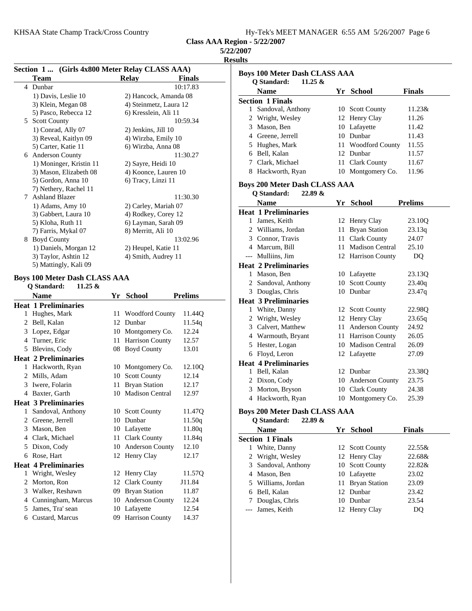KHSAA State Champ Track/Cross Country

| Hy-Tek's MEET MANAGER 6:55 AM 5/26/2007 Page 6 |
|------------------------------------------------|
|------------------------------------------------|

**Class AAA Region - 5/22/2007**

## **5/22/2007**

**Results**

| Section 1  (Girls 4x800 Meter Relay CLASS AAA) |                                      |      |                        |                |
|------------------------------------------------|--------------------------------------|------|------------------------|----------------|
|                                                | Team                                 |      | <b>Relay</b>           | <b>Finals</b>  |
| 4                                              | Dunbar                               |      |                        | 10:17.83       |
|                                                | 1) Davis, Leslie 10                  |      | 2) Hancock, Amanda 08  |                |
|                                                | 3) Klein, Megan 08                   |      | 4) Steinmetz, Laura 12 |                |
|                                                | 5) Pasco, Rebecca 12                 |      | 6) Kresslein, Ali 11   |                |
|                                                | 5 Scott County                       |      |                        | 10:59.34       |
|                                                | 1) Conrad, Ally 07                   |      | 2) Jenkins, Jill 10    |                |
|                                                | 3) Reveal, Kaitlyn 09                |      | 4) Wirzba, Emily 10    |                |
|                                                | 5) Carter, Katie 11                  |      | 6) Wirzba, Anna 08     |                |
|                                                | 6 Anderson County                    |      |                        | 11:30.27       |
|                                                | 1) Moninger, Kristin 11              |      | 2) Sayre, Heidi 10     |                |
|                                                | 3) Mason, Elizabeth 08               |      | 4) Koonce, Lauren 10   |                |
|                                                | 5) Gordon, Anna 10                   |      | 6) Tracy, Linzi 11     |                |
|                                                | 7) Nethery, Rachel 11                |      |                        |                |
|                                                | 7 Ashland Blazer                     |      |                        | 11:30.30       |
|                                                | 1) Adams, Amy 10                     |      | 2) Carley, Mariah 07   |                |
|                                                | 3) Gabbert, Laura 10                 |      | 4) Rodkey, Corey 12    |                |
|                                                | 5) Kloha, Ruth 11                    |      | 6) Layman, Sarah 09    |                |
|                                                | 7) Farris, Mykal 07                  |      | 8) Merritt, Ali 10     |                |
|                                                | 8 Boyd County                        |      |                        | 13:02.96       |
|                                                | 1) Daniels, Morgan 12                |      | 2) Heupel, Katie 11    |                |
|                                                | 3) Taylor, Ashtin 12                 |      | 4) Smith, Audrey 11    |                |
|                                                | 5) Mattingly, Kali 09                |      |                        |                |
|                                                | <b>Boys 100 Meter Dash CLASS AAA</b> |      |                        |                |
|                                                | Q Standard:<br>$11.25 \&$            |      |                        |                |
|                                                | <b>Name</b>                          | Yr   | School                 | <b>Prelims</b> |
|                                                | <b>Heat 1 Preliminaries</b>          |      |                        |                |
|                                                | 1 Hughes, Mark                       |      | 11 Woodford County     | 11.44Q         |
|                                                | 2 Bell, Kalan                        |      | 12 Dunbar              | 11.54q         |
|                                                | 3 Lopez, Edgar                       |      | 10 Montgomery Co.      | 12.24          |
|                                                | 4 Turner, Eric                       |      | 11 Harrison County     | 12.57          |
|                                                | 5 Blevins, Cody                      |      | 08 Boyd County         | 13.01          |
|                                                | <b>Heat 2 Preliminaries</b>          |      |                        |                |
|                                                | 1 Hackworth, Ryan                    |      | 10 Montgomery Co.      | 12.10Q         |
|                                                | 2 Mills, Adam                        |      | 10 Scott County        | 12.14          |
|                                                | 3 Iwere, Folarin                     | 11   | <b>Bryan Station</b>   | 12.17          |
|                                                | 4 Baxter, Garth                      | 10   | Madison Central        | 12.97          |
|                                                | <b>Heat 3 Preliminaries</b>          |      |                        |                |
| 1                                              | Sandoval, Anthony                    |      | 10 Scott County        | 11.47Q         |
|                                                | 2 Greene, Jerrell                    | 10   | Dunbar                 | 11.50q         |
|                                                | 3 Mason, Ben                         |      | 10 Lafayette           | 11.80q         |
|                                                | 4 Clark, Michael                     | 11 - | <b>Clark County</b>    | 11.84q         |
| 5                                              | Dixon, Cody                          | 10   | <b>Anderson County</b> | 12.10          |
| 6                                              | Rose, Hart                           | 12   | Henry Clay             | 12.17          |
|                                                | <b>Heat 4 Preliminaries</b>          |      |                        |                |
| 1                                              | Wright, Wesley                       |      | 12 Henry Clay          | 11.57Q         |
| 2                                              | Morton, Ron                          | 12   | <b>Clark County</b>    | J11.84         |
|                                                | 3 Walker, Reshawn                    | 09   | <b>Bryan Station</b>   | 11.87          |
|                                                | 4 Cunningham, Marcus                 | 10   | <b>Anderson County</b> | 12.24          |
| 5                                              | James, Tra' sean                     |      | 10 Lafayette           | 12.54          |
|                                                |                                      |      |                        |                |
|                                                | 6 Custard, Marcus                    | 09   | Harrison County        | 14.37          |

| <b>Boys 100 Meter Dash CLASS AAA</b><br>$11.25 \&$<br>Q Standard: |  |                    |                |  |
|-------------------------------------------------------------------|--|--------------------|----------------|--|
| <b>Name</b>                                                       |  | Yr School          | Finals         |  |
| <b>Section 1 Finals</b>                                           |  |                    |                |  |
| 1 Sandoval, Anthony                                               |  | 10 Scott County    | 11.23&         |  |
| 2 Wright, Wesley                                                  |  | 12 Henry Clay      | 11.26          |  |
| 3 Mason, Ben                                                      |  | 10 Lafayette       | 11.42          |  |
| 4 Greene, Jerrell                                                 |  | 10 Dunbar          | 11.43          |  |
| 5 Hughes, Mark                                                    |  | 11 Woodford County | 11.55          |  |
| 6 Bell, Kalan                                                     |  | 12 Dunbar          | 11.57          |  |
| 7 Clark, Michael                                                  |  | 11 Clark County    | 11.67          |  |
| 8 Hackworth, Ryan                                                 |  | 10 Montgomery Co.  | 11.96          |  |
| <b>Boys 200 Meter Dash CLASS AAA</b><br>Q Standard:<br>22.89 &    |  |                    |                |  |
| <b>Name</b>                                                       |  | Yr School          | <b>Prelims</b> |  |
| <b>Heat 1 Preliminaries</b>                                       |  |                    |                |  |
| 1 James, Keith                                                    |  | 12 Henry Clay      | 23.10Q         |  |
| 2 Williams, Jordan                                                |  | 11 Bryan Station   | 23.13q         |  |
| 3 Connor, Travis                                                  |  | 11 Clark County    | 24.07          |  |
| 4 Marcum, Bill                                                    |  | 11 Madison Central | 25.10          |  |
| --- Mulliins, Jim                                                 |  | 12 Harrison County | DQ             |  |
| <b>Heat 2 Preliminaries</b>                                       |  |                    |                |  |
| 1 Mason, Ben                                                      |  | 10 Lafayette       | 23.13Q         |  |
| 2 Sandoval, Anthony                                               |  | 10 Scott County    | 23.40q         |  |
| 3 Douglas, Chris                                                  |  | 10 Dunbar          | 23.47q         |  |
| <b>Heat 3 Preliminaries</b>                                       |  |                    |                |  |
| 1 White, Danny                                                    |  | 12 Scott County    | 22.98Q         |  |
| 2 Wright, Wesley                                                  |  | 12 Henry Clay      | 23.65q         |  |
| 3 Calvert, Matthew                                                |  | 11 Anderson County | 24.92          |  |
| 4 Warmouth, Bryant                                                |  | 11 Harrison County | 26.05          |  |
| 5 Hester, Logan                                                   |  | 10 Madison Central | 26.09          |  |
| 6 Floyd, Leron                                                    |  | 12 Lafayette       | 27.09          |  |
| <b>Heat 4 Preliminaries</b>                                       |  |                    |                |  |
| 1 Bell, Kalan                                                     |  | 12 Dunbar          | 23.38Q         |  |
| 2 Dixon, Cody                                                     |  | 10 Anderson County | 23.75          |  |
| 3 Morton, Bryson                                                  |  | 10 Clark County    | 24.38          |  |
| 4 Hackworth, Ryan                                                 |  | 10 Montgomery Co.  | 25.39          |  |
| <b>Boys 200 Meter Dash CLASS AAA</b>                              |  |                    |                |  |
| O Standard:<br>22.89 &                                            |  |                    |                |  |
| <b>Name</b>                                                       |  | Yr School          | <b>Finals</b>  |  |
| <b>Section 1 Finals</b>                                           |  |                    |                |  |
| White, Danny<br>1                                                 |  | 12 Scott County    | 22.55&         |  |
| Wright, Wesley<br>2                                               |  | 12 Henry Clay      | 22.68&         |  |
|                                                                   |  |                    | 22.020         |  |

| $=$ $\cdots$ $\cdots$ $\cdots$ | $12.1011$ , $014$ , | ------ |
|--------------------------------|---------------------|--------|
| 3 Sandoval, Anthony            | 10 Scott County     | 22.82& |
| 4 Mason, Ben                   | 10 Lafayette        | 23.02  |
| 5 Williams, Jordan             | 11 Bryan Station    | 23.09  |
| 6 Bell, Kalan                  | 12 Dunbar           | 23.42  |
| 7 Douglas, Chris               | 10 Dunbar           | 23.54  |
| --- James, Keith               | 12 Henry Clay       | DO     |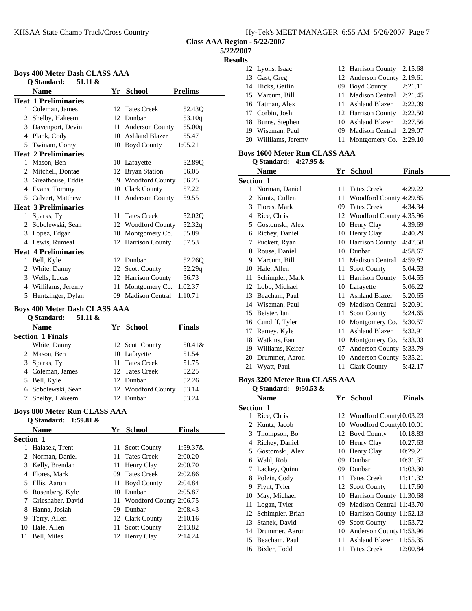KHSAA State Champ Track/Cross Country Hy-Tek's MEET MANAGER 6:55 AM 5/26/2007 Page 7

**Class AAA Region - 5/22/2007**

**5/22/2007**

**Results**

| <b>Boys 400 Meter Dash CLASS AAA</b> |                                       |                 |                        |                    |
|--------------------------------------|---------------------------------------|-----------------|------------------------|--------------------|
|                                      | O Standard:<br>51.11 &<br><b>Name</b> | Yr              | <b>School</b>          | <b>Prelims</b>     |
|                                      | <b>Heat 1 Preliminaries</b>           |                 |                        |                    |
| $\mathbf{1}$                         | Coleman, James                        | 12.             | <b>Tates Creek</b>     | 52.43 <sub>O</sub> |
| 2                                    | Shelby, Hakeem                        | 12              | Dunbar                 | 53.10q             |
|                                      | 3 Davenport, Devin                    | 11              | <b>Anderson County</b> | 55.00q             |
| 4                                    | Plank, Cody                           | 10 <sup>1</sup> | <b>Ashland Blazer</b>  | 55.47              |
| 5                                    | Twinam, Corey                         | 10              | <b>Boyd County</b>     | 1:05.21            |
|                                      | <b>Heat 2 Preliminaries</b>           |                 |                        |                    |
| $\mathbf{1}$                         | Mason, Ben                            |                 | 10 Lafayette           | 52.89Q             |
| $\mathfrak{D}$                       | Mitchell, Dontae                      | 12              | <b>Bryan Station</b>   | 56.05              |
|                                      | 3 Greathouse, Eddie                   |                 | 09 Woodford County     | 56.25              |
| 4                                    | Evans, Tommy                          |                 | 10 Clark County        | 57.22              |
|                                      | 5 Calvert, Matthew                    | 11              | <b>Anderson County</b> | 59.55              |
|                                      | <b>Heat 3 Preliminaries</b>           |                 |                        |                    |
| 1                                    | Sparks, Ty                            | 11              | <b>Tates Creek</b>     | 52.02Q             |
|                                      | 2 Sobolewski, Sean                    |                 | 12 Woodford County     | 52.32q             |
|                                      | 3 Lopez, Edgar                        | 10              | Montgomery Co.         | 55.89              |
|                                      | 4 Lewis, Rumeal                       | 12              | <b>Harrison County</b> | 57.53              |
|                                      | <b>Heat 4 Preliminaries</b>           |                 |                        |                    |
| 1                                    | Bell, Kyle                            | 12              | Dunbar                 | 52.26Q             |
| 2                                    | White, Danny                          | 12              | <b>Scott County</b>    | 52.29q             |
| 3                                    | Wells, Lucas                          | 12              | <b>Harrison County</b> | 56.73              |
| 4                                    | Willilams, Jeremy                     | 11              | Montgomery Co.         | 1:02.37            |
| 5                                    | Huntzinger, Dylan                     | 09              | <b>Madison Central</b> | 1:10.71            |

#### **Boys 400 Meter Dash CLASS AAA**

| 51.11 &<br>O Standard:  |                    |               |
|-------------------------|--------------------|---------------|
| Name                    | Yr School          | <b>Finals</b> |
| <b>Section 1 Finals</b> |                    |               |
| White, Danny<br>1       | 12 Scott County    | 50.41&        |
| 2 Mason, Ben            | 10 Lafayette       | 51.54         |
| 3 Sparks, Ty            | 11 Tates Creek     | 51.75         |
| 4 Coleman, James        | 12 Tates Creek     | 52.25         |
| 5 Bell, Kyle            | 12 Dunbar          | 52.26         |
| 6 Sobolewski, Sean      | 12 Woodford County | 53.14         |
| Shelby, Hakeem          | 12 Dunbar          | 53.24         |

#### **Boys 800 Meter Run CLASS AAA**

|           | Q Standard: 1:59.81 & |     |                            |             |
|-----------|-----------------------|-----|----------------------------|-------------|
|           | <b>Name</b>           |     | Yr School                  | Finals      |
| Section 1 |                       |     |                            |             |
|           | Halasek, Trent        |     | 11 Scott County            | $1:59.37\&$ |
|           | 2 Norman, Daniel      |     | 11 Tates Creek             | 2:00.20     |
| 3         | Kelly, Brendan        | 11. | Henry Clay                 | 2:00.70     |
| 4         | Flores, Mark          |     | 09 Tates Creek             | 2:02.86     |
| 5.        | Ellis, Aaron          |     | 11 Boyd County             | 2:04.84     |
| 6         | Rosenberg, Kyle       |     | 10 Dunbar                  | 2:05.87     |
| 7         | Grieshaber, David     |     | 11 Woodford County 2:06.75 |             |
| 8         | Hanna, Josiah         | 09  | Dunbar                     | 2:08.43     |
| 9         | Terry, Allen          |     | 12 Clark County            | 2:10.16     |
| 10        | Hale, Allen           |     | 11 Scott County            | 2:13.82     |
| 11        | Bell, Miles           |     | 12 Henry Clay              | 2:14.24     |
|           |                       |     |                            |             |

|  | 12 Lyons, Isaac      | 12 Harrison County         | 2:15.68 |
|--|----------------------|----------------------------|---------|
|  | 13 Gast, Greg        | 12 Anderson County 2:19.61 |         |
|  | 14 Hicks, Gatlin     | 09 Boyd County             | 2:21.11 |
|  | 15 Marcum, Bill      | 11 Madison Central         | 2:21.45 |
|  | 16 Tatman, Alex      | 11 Ashland Blazer          | 2:22.09 |
|  | 17 Corbin, Josh      | 12 Harrison County         | 2:22.50 |
|  | 18 Burns, Stephen    | 10 Ashland Blazer          | 2:27.56 |
|  | 19 Wiseman, Paul     | 09 Madison Central         | 2:29.07 |
|  | 20 Willilams, Jeremy | 11 Montgomery Co. 2:29.10  |         |
|  |                      |                            |         |

#### **Boys 1600 Meter Run CLASS AAA Q Standard: 4:27.95 &**

|              | $Q$ otalitat to $\sim$ 1.41.99 $\alpha$ |    |                            |         |
|--------------|-----------------------------------------|----|----------------------------|---------|
|              | Name                                    | Yr | School                     | Finals  |
| Section 1    |                                         |    |                            |         |
| $\mathbf{1}$ | Norman, Daniel                          | 11 | <b>Tates Creek</b>         | 4:29.22 |
| 2            | Kuntz, Cullen                           | 11 | Woodford County 4:29.85    |         |
| 3            | Flores, Mark                            | 09 | <b>Tates Creek</b>         | 4:34.34 |
| 4            | Rice, Chris                             |    | 12 Woodford County 4:35.96 |         |
| 5            | Gostomski, Alex                         | 10 | Henry Clay                 | 4:39.69 |
| 6            | Richey, Daniel                          | 10 | Henry Clay                 | 4:40.29 |
| 7            | Puckett, Ryan                           | 10 | <b>Harrison County</b>     | 4:47.58 |
| 8            | Rouse, Daniel                           | 10 | Dunbar                     | 4:58.67 |
| 9            | Marcum, Bill                            | 11 | <b>Madison Central</b>     | 4:59.82 |
| 10           | Hale, Allen                             | 11 | <b>Scott County</b>        | 5:04.53 |
| 11           | Schimpler, Mark                         | 11 | Harrison County            | 5:04.55 |
| 12           | Lobo, Michael                           | 10 | Lafayette                  | 5:06.22 |
| 13           | Beacham, Paul                           | 11 | Ashland Blazer             | 5:20.65 |
| 14           | Wiseman, Paul                           | 09 | <b>Madison Central</b>     | 5:20.91 |
| 15           | Beister, Ian                            | 11 | <b>Scott County</b>        | 5:24.65 |
| 16           | Cundiff, Tyler                          | 10 | Montgomery Co.             | 5:30.57 |
| 17           | Ramey, Kyle                             | 11 | <b>Ashland Blazer</b>      | 5:32.91 |
| 18           | Watkins, Ean                            | 10 | Montgomery Co.             | 5:33.03 |
| 19           | Williams, Keifer                        | 07 | Anderson County 5:33.79    |         |
| 20           | Drummer, Aaron                          | 10 | <b>Anderson County</b>     | 5:35.21 |
| 21           | Wyatt, Paul                             | 11 | <b>Clark County</b>        | 5:42.17 |

#### **Boys 3200 Meter Run CLASS AAA**

| $9:50.53 \&$<br>O Standard: |    |                          |                                                                                                                                 |
|-----------------------------|----|--------------------------|---------------------------------------------------------------------------------------------------------------------------------|
| <b>Name</b>                 | Yr | <b>School</b>            | Finals                                                                                                                          |
| Section 1                   |    |                          |                                                                                                                                 |
| Rice, Chris                 |    |                          |                                                                                                                                 |
| Kuntz, Jacob                |    |                          |                                                                                                                                 |
| Thompson, Bo                |    |                          | 10:18.83                                                                                                                        |
| Richey, Daniel              | 10 |                          | 10:27.63                                                                                                                        |
| Gostomski, Alex             | 10 |                          | 10:29.21                                                                                                                        |
| Wahl, Rob                   | 09 | Dunbar                   | 10:31.37                                                                                                                        |
| Lackey, Quinn               | 09 | Dunbar                   | 11:03.30                                                                                                                        |
| Polzin, Cody                | 11 | <b>Tates Creek</b>       | 11:11.32                                                                                                                        |
| Flynt, Tyler                | 12 |                          |                                                                                                                                 |
| May, Michael                | 10 | Harrison County 11:30.68 |                                                                                                                                 |
| Logan, Tyler                | 09 | Madison Central 11:43.70 |                                                                                                                                 |
| Schimpler, Brian            | 10 | Harrison County 11:52.13 |                                                                                                                                 |
| Stanek, David               | 09 | <b>Scott County</b>      | 11:53.72                                                                                                                        |
| Drummer, Aaron              | 10 | Anderson County 11:53.96 |                                                                                                                                 |
| Beacham, Paul               | 11 | Ashland Blazer 11:55.35  |                                                                                                                                 |
| Bixler, Todd                | 11 | <b>Tates Creek</b>       | 12:00.84                                                                                                                        |
|                             |    |                          | 12 Woodford County10:03.23<br>10 Woodford County10:10.01<br>12 Boyd County<br>Henry Clay<br>Henry Clay<br>Scott County 11:17.60 |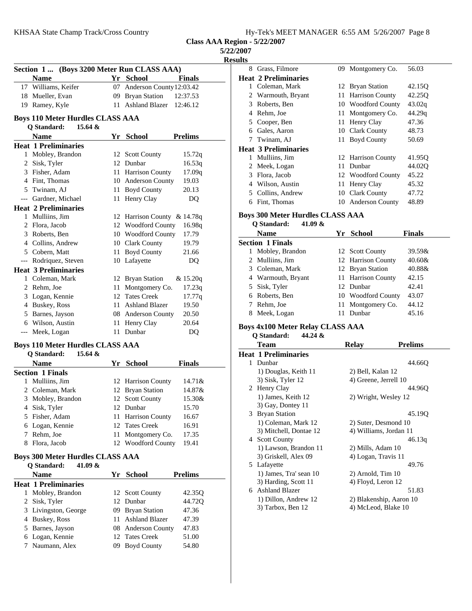| Hy-Tek's MEET MANAGER 6:55 AM 5/26/2007 Page 8 |  |  |  |  |  |  |  |  |  |
|------------------------------------------------|--|--|--|--|--|--|--|--|--|
|------------------------------------------------|--|--|--|--|--|--|--|--|--|

**5/22/2007**

**Results**

| (Boys 3200 Meter Run CLASS AAA)<br>Section 1 |                                         |    |                             |                |  |
|----------------------------------------------|-----------------------------------------|----|-----------------------------|----------------|--|
|                                              | <b>Name</b>                             |    | Yr School                   | <b>Finals</b>  |  |
| 17                                           | Williams, Keifer                        | 07 | Anderson County 12:03.42    |                |  |
| 18                                           | Mueller, Evan                           | 09 | <b>Bryan Station</b>        | 12:37.53       |  |
|                                              | 19 Ramey, Kyle                          | 11 | <b>Ashland Blazer</b>       | 12:46.12       |  |
|                                              | <b>Boys 110 Meter Hurdles CLASS AAA</b> |    |                             |                |  |
|                                              | Q Standard:<br>15.64 &                  |    |                             |                |  |
|                                              | <b>Name</b>                             |    | Yr School                   | <b>Prelims</b> |  |
|                                              | <b>Heat 1 Preliminaries</b>             |    |                             |                |  |
| 1                                            | Mobley, Brandon                         |    | 12 Scott County             | 15.72q         |  |
|                                              | 2 Sisk, Tyler                           |    | 12 Dunbar                   | 16.53q         |  |
|                                              | 3 Fisher, Adam                          |    | 11 Harrison County          | 17.09q         |  |
|                                              | 4 Fint, Thomas                          |    | 10 Anderson County          | 19.03          |  |
|                                              | 5 Twinam, AJ                            | 11 | <b>Boyd County</b>          | 20.13          |  |
|                                              | --- Gardner, Michael                    | 11 | Henry Clay                  | D <sub>O</sub> |  |
|                                              | <b>Heat 2 Preliminaries</b>             |    |                             |                |  |
| 1                                            | Mulliins, Jim                           |    | 12 Harrison County & 14.78q |                |  |
|                                              | 2 Flora, Jacob                          |    | 12 Woodford County          | 16.98q         |  |
|                                              | 3 Roberts, Ben                          |    | 10 Woodford County          | 17.79          |  |
|                                              | 4 Collins, Andrew                       |    | 10 Clark County             | 19.79          |  |
|                                              | 5 Cobern, Matt                          | 11 | <b>Boyd County</b>          | 21.66          |  |
|                                              | --- Rodriquez, Steven                   | 10 | Lafayette                   | DO.            |  |
|                                              | <b>Heat 3 Preliminaries</b>             |    |                             |                |  |
| 1                                            | Coleman, Mark                           | 12 | <b>Bryan Station</b>        | & 15.20q       |  |
| 2                                            | Rehm, Joe                               | 11 | Montgomery Co.              | 17.23q         |  |
|                                              | 3 Logan, Kennie                         |    | 12 Tates Creek              | 17.77q         |  |
|                                              | 4 Buskey, Ross                          |    | 11 Ashland Blazer           | 19.50          |  |
|                                              | 5 Barnes, Jayson                        |    | 08 Anderson County          | 20.50          |  |
|                                              | 6 Wilson, Austin                        | 11 | Henry Clay                  | 20.64          |  |
| $---$                                        | Meek, Logan                             | 11 | Dunbar                      | DQ             |  |
|                                              | <b>Boys 110 Meter Hurdles CLASS AAA</b> |    |                             |                |  |
|                                              | <b>Q</b> Standard:<br>15.64 &           |    |                             |                |  |
|                                              | <b>Name</b>                             |    | Yr School                   | <b>Finals</b>  |  |
|                                              | <b>Section 1 Finals</b>                 |    |                             |                |  |
| 1                                            | Mulliins, Jim                           | 12 | Harrison County             | 14.71&         |  |
|                                              | 2 Coleman, Mark                         | 12 | <b>Bryan Station</b>        | 14.87&         |  |
|                                              | 3 Mobley, Brandon                       |    | 12 Scott County             | 15.30&         |  |
|                                              | 4 Sisk, Tyler                           |    | 12 Dunbar                   | 15.70          |  |
| 5                                            | Fisher, Adam                            | 11 | Harrison County             | 16.67          |  |
| 6                                            | Logan, Kennie                           | 12 | <b>Tates Creek</b>          | 16.91          |  |
| 7                                            | Rehm, Joe                               | 11 | Montgomery Co.              | 17.35          |  |

# **Boys 300 Meter Hurdles CLASS AAA**

# **Q Standard: 41.09 &**

|   | v vmnme vi                  |          |                    |                    |  |
|---|-----------------------------|----------|--------------------|--------------------|--|
|   | <b>Name</b>                 |          | Yr School          | <b>Prelims</b>     |  |
|   | <b>Heat 1 Preliminaries</b> |          |                    |                    |  |
| 1 | Mobley, Brandon             |          | 12 Scott County    | 42.35 <sub>O</sub> |  |
|   | 2 Sisk, Tyler               |          | 12 Dunbar          | 44.720             |  |
|   | 3 Livingston, George        |          | 09 Bryan Station   | 47.36              |  |
|   | 4 Buskey, Ross              |          | 11 Ashland Blazer  | 47.39              |  |
|   | 5 Barnes, Jayson            |          | 08 Anderson County | 47.83              |  |
|   | 6 Logan, Kennie             |          | 12 Tates Creek     | 51.00              |  |
|   | 7 Naumann, Alex             | $^{(9)}$ | <b>Boyd County</b> | 54.80              |  |
|   |                             |          |                    |                    |  |

8 Flora, Jacob 12 Woodford County 19.41

| 8 | Grass, Filmore              | 09 | Montgomery Co.         | 56.03              |
|---|-----------------------------|----|------------------------|--------------------|
|   | Heat 2 Preliminaries        |    |                        |                    |
| 1 | Coleman, Mark               |    | 12 Bryan Station       | 42.15 <sub>O</sub> |
| 2 | Warmouth, Bryant            | 11 | <b>Harrison County</b> | 42.25 <sub>O</sub> |
| 3 | Roberts, Ben                | 10 | <b>Woodford County</b> | 43.02q             |
| 4 | Rehm, Joe                   | 11 | Montgomery Co.         | 44.29q             |
| 5 | Cooper, Ben                 | 11 | Henry Clay             | 47.36              |
| 6 | Gales, Aaron                | 10 | Clark County           | 48.73              |
| 7 | Twinam, AJ                  | 11 | <b>Boyd County</b>     | 50.69              |
|   | <b>Heat 3 Preliminaries</b> |    |                        |                    |
| 1 | Mulliins, Jim               |    | 12 Harrison County     | 41.950             |
| 2 | Meek, Logan                 | 11 | Dunbar                 | 44.02O             |
| 3 | Flora, Jacob                |    | 12 Woodford County     | 45.22              |
| 4 | Wilson, Austin              | 11 | Henry Clay             | 45.32              |
| 5 | Collins, Andrew             | 10 | Clark County           | 47.72              |
| 6 | Fint, Thomas                | 10 | <b>Anderson County</b> | 48.89              |
|   |                             |    |                        |                    |

# **Boys 300 Meter Hurdles CLASS AAA**

**Q Standard: 41.09 &**

|   | Name                    | Yr | School             | Finals    |  |  |  |  |  |
|---|-------------------------|----|--------------------|-----------|--|--|--|--|--|
|   | <b>Section 1 Finals</b> |    |                    |           |  |  |  |  |  |
| 1 | Mobley, Brandon         |    | 12 Scott County    | $39.59\&$ |  |  |  |  |  |
|   | 2 Mulliins, Jim         |    | 12 Harrison County | 40.60&    |  |  |  |  |  |
|   | 3 Coleman, Mark         |    | 12 Bryan Station   | 40.88&    |  |  |  |  |  |
|   | 4 Warmouth, Bryant      |    | 11 Harrison County | 42.15     |  |  |  |  |  |
|   | 5 Sisk, Tyler           |    | 12 Dunbar          | 42.41     |  |  |  |  |  |
|   | 6 Roberts, Ben          |    | 10 Woodford County | 43.07     |  |  |  |  |  |
|   | Rehm, Joe               |    | 11 Montgomery Co.  | 44.12     |  |  |  |  |  |
| 8 | Meek, Logan             |    | Dunbar             | 45.16     |  |  |  |  |  |

#### **Boys 4x100 Meter Relay CLASS AAA**

**Q Standard: 44.24 &**

|    | Team                        | Relav                 | <b>Prelims</b>          |
|----|-----------------------------|-----------------------|-------------------------|
|    | <b>Heat 1 Preliminaries</b> |                       |                         |
| 1. | Dunbar                      |                       | 44.66O                  |
|    | 1) Douglas, Keith 11        | 2) Bell, Kalan 12     |                         |
|    | 3) Sisk, Tyler 12           | 4) Greene, Jerrell 10 |                         |
|    | 2 Henry Clay                |                       | 44.96O                  |
|    | 1) James, Keith 12          | 2) Wright, Wesley 12  |                         |
|    | 3) Gay, Dontey 11           |                       |                         |
|    | 3 Bryan Station             |                       | 45.19O                  |
|    | 1) Coleman, Mark 12         | 2) Suter, Desmond 10  |                         |
|    | 3) Mitchell, Dontae 12      |                       | 4) Williams, Jordan 11  |
|    | 4 Scott County              |                       | 46.13q                  |
|    | 1) Lawson, Brandon 11       | 2) Mills, Adam 10     |                         |
|    | 3) Griskell, Alex 09        | 4) Logan, Travis 11   |                         |
|    | 5 Lafayette                 |                       | 49.76                   |
|    | 1) James, Tra' sean 10      | $2)$ Arnold, Tim $10$ |                         |
|    | 3) Harding, Scott 11        | 4) Floyd, Leron 12    |                         |
|    | 6 Ashland Blazer            |                       | 51.83                   |
|    | 1) Dillon, Andrew 12        |                       | 2) Blakenship, Aaron 10 |
|    | 3) Tarbox, Ben 12           | 4) McLeod, Blake 10   |                         |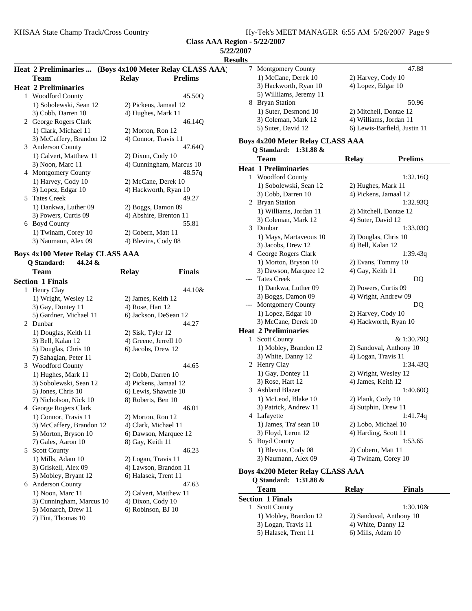**5/22/2007**

**Results**

|   | Heat 2 Preliminaries  (Boys 4x100 Meter Relay CLASS AAA) |                      |                          |
|---|----------------------------------------------------------|----------------------|--------------------------|
|   | Team                                                     | <b>Relay</b>         | <b>Prelims</b>           |
|   | <b>Heat 2 Preliminaries</b>                              |                      |                          |
| 1 | <b>Woodford County</b>                                   |                      | 45.50O                   |
|   | 1) Sobolewski, Sean 12                                   |                      | 2) Pickens, Jamaal 12    |
|   | 3) Cobb, Darren 10                                       | 4) Hughes, Mark 11   |                          |
|   | 2 George Rogers Clark                                    |                      | 46.14O                   |
|   | 1) Clark, Michael 11                                     | 2) Morton, Ron 12    |                          |
|   | 3) McCaffery, Brandon 12                                 | 4) Connor, Travis 11 |                          |
| 3 | <b>Anderson County</b>                                   |                      | 47.64Q                   |
|   | 1) Calvert, Matthew 11                                   | 2) Dixon, Cody 10    |                          |
|   | 3) Noon, Marc 11                                         |                      | 4) Cunningham, Marcus 10 |
| 4 | <b>Montgomery County</b>                                 |                      | 48.57q                   |
|   | 1) Harvey, Cody 10                                       |                      | 2) McCane, Derek 10      |
|   | 3) Lopez, Edgar 10                                       |                      | 4) Hackworth, Ryan 10    |
|   | 5 Tates Creek                                            |                      | 49.27                    |
|   | 1) Dankwa, Luther 09                                     | 2) Boggs, Damon 09   |                          |
|   | 3) Powers, Curtis 09                                     |                      | 4) Abshire, Brenton 11   |
| 6 | <b>Boyd County</b>                                       |                      | 55.81                    |
|   | 1) Twinam, Corey 10                                      | 2) Cobern, Matt 11   |                          |
|   | 3) Naumann, Alex 09                                      | 4) Blevins, Cody 08  |                          |

# **Boys 4x100 Meter Relay CLASS AAA**<br>Q Standard: 44.24 &

|   | Q Standard:<br>44.24 &   |                        |               |
|---|--------------------------|------------------------|---------------|
|   | Team                     | <b>Relay</b>           | <b>Finals</b> |
|   | <b>Section 1 Finals</b>  |                        |               |
| 1 | Henry Clay               |                        | 44.10&        |
|   | 1) Wright, Wesley 12     | 2) James, Keith 12     |               |
|   | 3) Gay, Dontey 11        | 4) Rose, Hart 12       |               |
|   | 5) Gardner, Michael 11   | 6) Jackson, DeSean 12  |               |
| 2 | Dunbar                   |                        | 44.27         |
|   | 1) Douglas, Keith 11     | 2) Sisk, Tyler 12      |               |
|   | 3) Bell, Kalan 12        | 4) Greene, Jerrell 10  |               |
|   | 5) Douglas, Chris 10     | 6) Jacobs, Drew 12     |               |
|   | 7) Sahagian, Peter 11    |                        |               |
| 3 | <b>Woodford County</b>   |                        | 44.65         |
|   | 1) Hughes, Mark 11       | 2) Cobb, Darren 10     |               |
|   | 3) Sobolewski, Sean 12   | 4) Pickens, Jamaal 12  |               |
|   | 5) Jones, Chris 10       | 6) Lewis, Shawnie 10   |               |
|   | 7) Nicholson, Nick 10    | 8) Roberts, Ben 10     |               |
| 4 | George Rogers Clark      |                        | 46.01         |
|   | 1) Connor, Travis 11     | 2) Morton, Ron 12      |               |
|   | 3) McCaffery, Brandon 12 | 4) Clark, Michael 11   |               |
|   | 5) Morton, Bryson 10     | 6) Dawson, Marquee 12  |               |
|   | 7) Gales, Aaron 10       | 8) Gay, Keith 11       |               |
| 5 | <b>Scott County</b>      |                        | 46.23         |
|   | 1) Mills, Adam 10        | 2) Logan, Travis 11    |               |
|   | 3) Griskell, Alex 09     | 4) Lawson, Brandon 11  |               |
|   | 5) Mobley, Bryant 12     | 6) Halasek, Trent 11   |               |
| 6 | <b>Anderson County</b>   |                        | 47.63         |
|   | 1) Noon, Marc 11         | 2) Calvert, Matthew 11 |               |
|   | 3) Cunningham, Marcus 10 | 4) Dixon, Cody 10      |               |
|   | 5) Monarch, Drew 11      | 6) Robinson, BJ 10     |               |
|   | 7) Fint, Thomas 10       |                        |               |

| <b>Montgomery County</b><br>7 |                                              | 47.88                                       |                              |  |
|-------------------------------|----------------------------------------------|---------------------------------------------|------------------------------|--|
|                               | 1) McCane, Derek 10                          | 2) Harvey, Cody 10                          |                              |  |
|                               | 3) Hackworth, Ryan 10                        | 4) Lopez, Edgar 10                          |                              |  |
|                               | 5) Willilams, Jeremy 11                      |                                             |                              |  |
|                               | 8 Bryan Station                              |                                             | 50.96                        |  |
|                               | 1) Suter, Desmond 10                         | 2) Mitchell, Dontae 12                      |                              |  |
|                               | 3) Coleman, Mark 12                          | 4) Williams, Jordan 11                      |                              |  |
|                               | 5) Suter, David 12                           |                                             | 6) Lewis-Barfield, Justin 11 |  |
|                               | <b>Boys 4x200 Meter Relay CLASS AAA</b>      |                                             |                              |  |
|                               | Q Standard:<br>$1:31.88 \&$                  |                                             |                              |  |
|                               | Team                                         |                                             | <b>Prelims</b>               |  |
|                               |                                              | <b>Relay</b>                                |                              |  |
|                               | <b>Heat 1 Preliminaries</b>                  |                                             |                              |  |
| 1                             | <b>Woodford County</b>                       |                                             | 1:32.16Q                     |  |
|                               | 1) Sobolewski, Sean 12                       | 2) Hughes, Mark 11<br>4) Pickens, Jamaal 12 |                              |  |
|                               | 3) Cobb, Darren 10                           |                                             |                              |  |
|                               | 2 Bryan Station                              |                                             | 1:32.93Q                     |  |
|                               | 1) Williams, Jordan 11                       | 2) Mitchell, Dontae 12                      |                              |  |
| 3                             | 3) Coleman, Mark 12<br>Dunbar                | 4) Suter, David 12                          | 1:33.03Q                     |  |
|                               |                                              |                                             |                              |  |
|                               | 1) Mays, Martaveous 10<br>3) Jacobs, Drew 12 | 2) Douglas, Chris 10                        |                              |  |
|                               | 4 George Rogers Clark                        | 4) Bell, Kalan 12<br>1:39.43q               |                              |  |
|                               | 1) Morton, Bryson 10                         |                                             |                              |  |
|                               | 3) Dawson, Marquee 12                        | 2) Evans, Tommy 10<br>4) Gay, Keith 11      |                              |  |
| <b>Tates Creek</b>            |                                              |                                             | DQ                           |  |
|                               | 1) Dankwa, Luther 09                         | 2) Powers, Curtis 09                        |                              |  |
|                               | 3) Boggs, Damon 09                           | 4) Wright, Andrew 09                        |                              |  |
|                               | Montgomery County                            |                                             | DQ                           |  |
|                               | 1) Lopez, Edgar 10                           | 2) Harvey, Cody 10                          |                              |  |
|                               | 3) McCane, Derek 10                          | 4) Hackworth, Ryan 10                       |                              |  |
|                               | <b>Heat 2 Preliminaries</b>                  |                                             |                              |  |
| 1                             | <b>Scott County</b>                          |                                             | & 1:30.79Q                   |  |
|                               | 1) Mobley, Brandon 12                        | 2) Sandoval, Anthony 10                     |                              |  |
|                               | 3) White, Danny 12                           | 4) Logan, Travis 11                         |                              |  |
|                               | 2 Henry Clay                                 |                                             | 1:34.43Q                     |  |
|                               | 1) Gay, Dontey 11                            | 2) Wright, Wesley 12                        |                              |  |
|                               | 3) Rose, Hart 12                             | 4) James, Keith 12                          |                              |  |
| 3                             | <b>Ashland Blazer</b>                        |                                             | 1:40.60Q                     |  |
|                               | 1) McLeod, Blake 10                          | 2) Plank, Cody 10                           |                              |  |
|                               | 3) Patrick, Andrew 11                        | 4) Sutphin, Drew 11                         |                              |  |
|                               | 4 Lafayette                                  |                                             | 1:41.74q                     |  |
|                               | 1) James, Tra' sean 10                       | 2) Lobo, Michael 10                         |                              |  |
|                               | 3) Floyd, Leron 12                           | 4) Harding, Scott 11                        |                              |  |
|                               | 5 Boyd County                                |                                             | 1:53.65                      |  |
|                               | 1) Blevins, Cody 08                          | 2) Cobern, Matt 11                          |                              |  |
|                               | 3) Naumann, Alex 09                          | 4) Twinam, Corey 10                         |                              |  |
|                               | Boys 4x200 Meter Relay CLASS AAA             |                                             |                              |  |
|                               | Q Standard:<br>$1:31.88 \&$                  |                                             |                              |  |
|                               | Team                                         | <b>Relay</b>                                | <b>Finals</b>                |  |
|                               | <b>Section 1 Finals</b>                      |                                             |                              |  |
| 1                             | <b>Scott County</b>                          |                                             | 1:30.10&                     |  |
|                               | 1) Mobley, Brandon 12                        | 2) Sandoval, Anthony 10                     |                              |  |
|                               | 3) Logan, Travis 11                          | 4) White, Danny 12                          |                              |  |
|                               | 5) Halasek, Trent 11                         | 6) Mills, Adam 10                           |                              |  |
|                               |                                              |                                             |                              |  |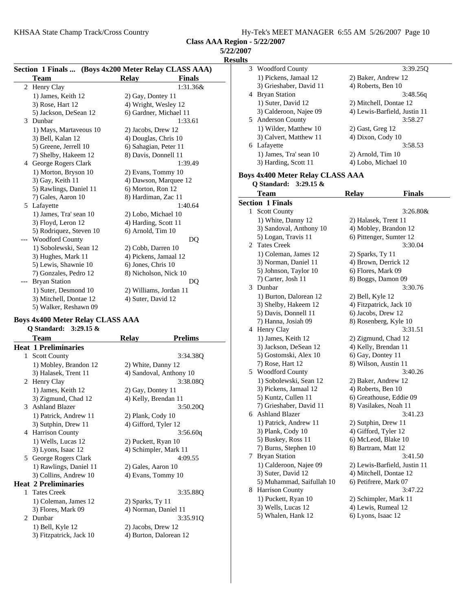| <i><b>5/22/2007</b></i> |  |  |
|-------------------------|--|--|
|                         |  |  |

**Result** 

|   | Section 1 Finals  (Boys 4x200 Meter Relay CLASS AAA) |                        |               |
|---|------------------------------------------------------|------------------------|---------------|
|   | Team                                                 | <b>Relay</b>           | <b>Finals</b> |
|   | 2 Henry Clay                                         |                        | 1:31.36&      |
|   | 1) James, Keith 12                                   | 2) Gay, Dontey 11      |               |
|   | 3) Rose, Hart 12                                     | 4) Wright, Wesley 12   |               |
|   | 5) Jackson, DeSean 12                                | 6) Gardner, Michael 11 |               |
| 3 | Dunbar                                               |                        | 1:33.61       |
|   | 1) Mays, Martaveous 10                               | 2) Jacobs, Drew 12     |               |
|   | 3) Bell, Kalan 12                                    | 4) Douglas, Chris 10   |               |
|   | 5) Greene, Jerrell 10                                | 6) Sahagian, Peter 11  |               |
|   | 7) Shelby, Hakeem 12                                 | 8) Davis, Donnell 11   |               |
| 4 | George Rogers Clark                                  |                        | 1:39.49       |
|   | 1) Morton, Bryson 10                                 | 2) Evans, Tommy 10     |               |
|   | 3) Gay, Keith 11                                     | 4) Dawson, Marquee 12  |               |
|   | 5) Rawlings, Daniel 11                               | 6) Morton, Ron 12      |               |
|   | 7) Gales, Aaron 10                                   | 8) Hardiman, Zac 11    |               |
| 5 | Lafayette                                            |                        | 1:40.64       |
|   | 1) James, Tra' sean 10                               | 2) Lobo, Michael 10    |               |
|   | 3) Floyd, Leron 12                                   | 4) Harding, Scott 11   |               |
|   | 5) Rodriquez, Steven 10                              | $6)$ Arnold, Tim $10$  |               |
|   | <b>Woodford County</b>                               |                        | DQ            |
|   | 1) Sobolewski, Sean 12                               | 2) Cobb, Darren 10     |               |
|   | 3) Hughes, Mark 11                                   | 4) Pickens, Jamaal 12  |               |
|   | 5) Lewis, Shawnie 10                                 | 6) Jones, Chris 10     |               |
|   | 7) Gonzales, Pedro 12                                | 8) Nicholson, Nick 10  |               |
|   | <b>Bryan Station</b>                                 |                        | DQ            |
|   | 1) Suter, Desmond 10                                 | 2) Williams, Jordan 11 |               |
|   | 3) Mitchell, Dontae 12                               | 4) Suter, David 12     |               |
|   | 5) Walker, Reshawn 09                                |                        |               |

#### **Boys 4x400 Meter Relay CLASS AAA**

|                             | Q Standard: 3:29.15 &       |                         |                |
|-----------------------------|-----------------------------|-------------------------|----------------|
|                             | Team                        | <b>Relay</b>            | <b>Prelims</b> |
|                             | <b>Heat 1 Preliminaries</b> |                         |                |
| 1                           | <b>Scott County</b>         |                         | 3:34.38Q       |
|                             | 1) Mobley, Brandon 12       | 2) White, Danny 12      |                |
|                             | 3) Halasek, Trent 11        | 4) Sandoval, Anthony 10 |                |
|                             | 2 Henry Clay                |                         | 3:38.08Q       |
|                             | 1) James, Keith 12          | 2) Gay, Dontey 11       |                |
|                             | 3) Zigmund, Chad 12         | 4) Kelly, Brendan 11    |                |
|                             | 3 Ashland Blazer            |                         | 3:50.20Q       |
|                             | 1) Patrick, Andrew 11       | 2) Plank, Cody 10       |                |
|                             | 3) Sutphin, Drew 11         | 4) Gifford, Tyler 12    |                |
|                             | 4 Harrison County           |                         | 3:56.60q       |
|                             | 1) Wells, Lucas 12          | 2) Puckett, Ryan 10     |                |
|                             | 3) Lyons, Isaac 12          | 4) Schimpler, Mark 11   |                |
|                             | 5 George Rogers Clark       |                         | 4:09.55        |
|                             | 1) Rawlings, Daniel 11      | 2) Gales, Aaron 10      |                |
|                             | 3) Collins, Andrew 10       | 4) Evans, Tommy 10      |                |
|                             | <b>Heat 2 Preliminaries</b> |                         |                |
|                             | 1 Tates Creek               |                         | 3:35.88Q       |
|                             | 1) Coleman, James 12        | 2) Sparks, Ty 11        |                |
|                             | 3) Flores, Mark 09          | 4) Norman, Daniel 11    |                |
| $\mathcal{D}_{\mathcal{L}}$ | Dunbar                      |                         | 3:35.91Q       |
|                             | 1) Bell, Kyle 12            | 2) Jacobs, Drew 12      |                |
|                             | 3) Fitzpatrick, Jack 10     | 4) Burton, Dalorean 12  |                |
|                             |                             |                         |                |

| ılts |                                               |                                            |
|------|-----------------------------------------------|--------------------------------------------|
| 3    | <b>Woodford County</b>                        | 3:39.25Q                                   |
|      | 1) Pickens, Jamaal 12                         | 2) Baker, Andrew 12                        |
|      | 3) Grieshaber, David 11                       | 4) Roberts, Ben 10                         |
|      | 4 Bryan Station                               | 3:48.56q                                   |
|      | 1) Suter, David 12                            | 2) Mitchell, Dontae 12                     |
|      | 3) Calderoon, Najee 09                        | 4) Lewis-Barfield, Justin 11               |
| 5    | <b>Anderson County</b>                        | 3:58.27                                    |
|      | 1) Wilder, Matthew 10                         | $2)$ Gast, Greg 12                         |
|      | 3) Calvert, Matthew 11                        | 4) Dixon, Cody 10                          |
| 6    | Lafayette                                     | 3:58.53                                    |
|      |                                               |                                            |
|      | 1) James, Tra' sean 10                        | 2) Arnold, Tim 10                          |
|      | 3) Harding, Scott 11                          | 4) Lobo, Michael 10                        |
|      | <b>Boys 4x400 Meter Relay CLASS AAA</b>       |                                            |
|      | Q Standard: 3:29.15 &                         |                                            |
|      | Team                                          | <b>Relay</b><br><b>Finals</b>              |
|      | <b>Section 1 Finals</b>                       |                                            |
| 1    | <b>Scott County</b>                           | 3:26.80&                                   |
|      | 1) White, Danny 12                            | 2) Halasek, Trent 11                       |
|      | 3) Sandoval, Anthony 10                       | 4) Mobley, Brandon 12                      |
|      | 5) Logan, Travis 11                           | 6) Pittenger, Sumter 12                    |
|      | 2 Tates Creek                                 | 3:30.04                                    |
|      |                                               |                                            |
|      | 1) Coleman, James 12                          | 2) Sparks, Ty 11                           |
|      | 3) Norman, Daniel 11<br>5) Johnson, Taylor 10 | 4) Brown, Derrick 12<br>6) Flores, Mark 09 |
|      |                                               | 8) Boggs, Damon 09                         |
|      | 7) Carter, Josh 11                            |                                            |
| 3    | Dunbar                                        | 3:30.76                                    |
|      | 1) Burton, Dalorean 12                        | 2) Bell, Kyle 12                           |
|      | 3) Shelby, Hakeem 12                          | 4) Fitzpatrick, Jack 10                    |
|      | 5) Davis, Donnell 11                          | 6) Jacobs, Drew 12                         |
|      | 7) Hanna, Josiah 09                           | 8) Rosenberg, Kyle 10                      |
|      | 4 Henry Clay                                  | 3:31.51                                    |
|      | 1) James, Keith 12                            | 2) Zigmund, Chad 12                        |
|      | 3) Jackson, DeSean 12                         | 4) Kelly, Brendan 11                       |
|      | 5) Gostomski, Alex 10                         | 6) Gay, Dontey 11                          |
|      | 7) Rose, Hart 12                              | 8) Wilson, Austin 11                       |
| 5    | <b>Woodford County</b>                        | 3:40.26                                    |
|      | 1) Sobolewski, Sean 12                        | 2) Baker, Andrew 12                        |
|      | 3) Pickens, Jamaal 12                         | 4) Roberts, Ben 10                         |
|      | 5) Kuntz, Cullen 11                           | 6) Greathouse, Eddie 09                    |
|      | 7) Grieshaber, David 11                       | 8) Vasilakes, Noah 11                      |
|      | 6 Ashland Blazer                              | 3:41.23                                    |
|      | 1) Patrick, Andrew 11                         | 2) Sutphin, Drew 11                        |
|      | 3) Plank, Cody 10                             | 4) Gifford, Tyler 12                       |
|      | 5) Buskey, Ross 11                            | 6) McLeod, Blake 10                        |
|      | 7) Burns, Stephen 10                          | 8) Bartram, Matt 12                        |
| 7    | <b>Bryan Station</b>                          | 3:41.50                                    |
|      | 1) Calderoon, Najee 09                        | 2) Lewis-Barfield, Justin 11               |
|      | 3) Suter, David 12                            | 4) Mitchell, Dontae 12                     |
|      | 5) Muhammad, Saifullah 10                     | 6) Petifrere, Mark 07                      |
|      | 8 Harrison County                             | 3:47.22                                    |
|      | 1) Puckett, Ryan 10                           | 2) Schimpler, Mark 11                      |
|      | 3) Wells, Lucas 12                            | 4) Lewis, Rumeal 12                        |
|      | 5) Whalen, Hank 12                            | 6) Lyons, Isaac 12                         |
|      |                                               |                                            |
|      |                                               |                                            |